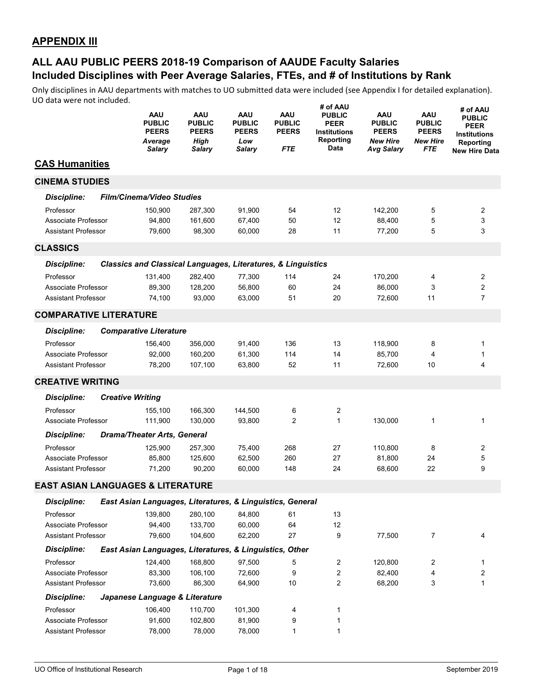|                                              | <b>AAU</b><br><b>PUBLIC</b><br><b>PEERS</b><br>Average<br>Salary        | AAU<br><b>PUBLIC</b><br><b>PEERS</b><br>High<br>Salary | <b>AAU</b><br><b>PUBLIC</b><br><b>PEERS</b><br>Low<br><b>Salary</b> | <b>AAU</b><br><b>PUBLIC</b><br><b>PEERS</b><br><b>FTE</b> | # of AAU<br><b>PUBLIC</b><br><b>PEER</b><br><b>Institutions</b><br>Reporting<br>Data | AAU<br><b>PUBLIC</b><br><b>PEERS</b><br><b>New Hire</b><br><b>Avg Salary</b> | <b>AAU</b><br><b>PUBLIC</b><br><b>PEERS</b><br><b>New Hire</b><br>FTE | # of AAU<br><b>PUBLIC</b><br>PEER<br><b>Institutions</b><br>Reporting<br><b>New Hire Data</b> |
|----------------------------------------------|-------------------------------------------------------------------------|--------------------------------------------------------|---------------------------------------------------------------------|-----------------------------------------------------------|--------------------------------------------------------------------------------------|------------------------------------------------------------------------------|-----------------------------------------------------------------------|-----------------------------------------------------------------------------------------------|
| <b>CAS Humanities</b>                        |                                                                         |                                                        |                                                                     |                                                           |                                                                                      |                                                                              |                                                                       |                                                                                               |
| <b>CINEMA STUDIES</b>                        |                                                                         |                                                        |                                                                     |                                                           |                                                                                      |                                                                              |                                                                       |                                                                                               |
| <b>Discipline:</b>                           | Film/Cinema/Video Studies                                               |                                                        |                                                                     |                                                           |                                                                                      |                                                                              |                                                                       |                                                                                               |
| Professor                                    | 150,900                                                                 | 287,300                                                | 91,900                                                              | 54                                                        | 12                                                                                   | 142,200                                                                      | 5                                                                     | 2                                                                                             |
| Associate Professor                          | 94,800                                                                  | 161,600                                                | 67,400                                                              | 50                                                        | 12                                                                                   | 88,400                                                                       | 5                                                                     | 3                                                                                             |
| <b>Assistant Professor</b>                   | 79,600                                                                  | 98,300                                                 | 60,000                                                              | 28                                                        | 11                                                                                   | 77,200                                                                       | 5                                                                     | 3                                                                                             |
| <b>CLASSICS</b>                              |                                                                         |                                                        |                                                                     |                                                           |                                                                                      |                                                                              |                                                                       |                                                                                               |
| <b>Discipline:</b>                           | <b>Classics and Classical Languages, Literatures, &amp; Linguistics</b> |                                                        |                                                                     |                                                           |                                                                                      |                                                                              |                                                                       |                                                                                               |
| Professor                                    | 131,400                                                                 | 282,400                                                | 77,300                                                              | 114                                                       | 24                                                                                   | 170,200                                                                      | 4                                                                     | 2                                                                                             |
| Associate Professor                          | 89,300                                                                  | 128,200                                                | 56,800                                                              | 60                                                        | 24                                                                                   | 86,000                                                                       | 3                                                                     | 2                                                                                             |
| <b>Assistant Professor</b>                   | 74,100                                                                  | 93,000                                                 | 63,000                                                              | 51                                                        | 20                                                                                   | 72,600                                                                       | 11                                                                    | $\overline{7}$                                                                                |
| <b>COMPARATIVE LITERATURE</b>                |                                                                         |                                                        |                                                                     |                                                           |                                                                                      |                                                                              |                                                                       |                                                                                               |
| Discipline:                                  | <b>Comparative Literature</b>                                           |                                                        |                                                                     |                                                           |                                                                                      |                                                                              |                                                                       |                                                                                               |
| Professor                                    | 156,400                                                                 | 356,000                                                | 91,400                                                              | 136                                                       | 13                                                                                   | 118,900                                                                      | 8                                                                     | 1                                                                                             |
| Associate Professor                          | 92,000                                                                  | 160,200                                                | 61,300                                                              | 114                                                       | 14                                                                                   | 85,700                                                                       | 4                                                                     | 1                                                                                             |
| <b>Assistant Professor</b>                   | 78,200                                                                  | 107,100                                                | 63,800                                                              | 52                                                        | 11                                                                                   | 72,600                                                                       | 10                                                                    | 4                                                                                             |
| <b>CREATIVE WRITING</b>                      |                                                                         |                                                        |                                                                     |                                                           |                                                                                      |                                                                              |                                                                       |                                                                                               |
| <b>Discipline:</b>                           | <b>Creative Writing</b>                                                 |                                                        |                                                                     |                                                           |                                                                                      |                                                                              |                                                                       |                                                                                               |
| Professor                                    | 155,100                                                                 | 166,300                                                | 144,500                                                             | 6                                                         | 2                                                                                    |                                                                              |                                                                       |                                                                                               |
| Associate Professor                          | 111,900                                                                 | 130,000                                                | 93,800                                                              | $\overline{2}$                                            | $\mathbf{1}$                                                                         | 130,000                                                                      | 1                                                                     | 1                                                                                             |
| <b>Discipline:</b>                           | <b>Drama/Theater Arts, General</b>                                      |                                                        |                                                                     |                                                           |                                                                                      |                                                                              |                                                                       |                                                                                               |
| Professor                                    | 125,900                                                                 | 257,300                                                | 75,400                                                              | 268                                                       | 27                                                                                   | 110,800                                                                      | 8                                                                     | 2                                                                                             |
| Associate Professor                          | 85,800                                                                  | 125,600                                                | 62,500                                                              | 260                                                       | 27                                                                                   | 81,800                                                                       | 24                                                                    | 5                                                                                             |
| <b>Assistant Professor</b>                   | 71,200                                                                  | 90,200                                                 | 60,000                                                              | 148                                                       | 24                                                                                   | 68,600                                                                       | 22                                                                    | 9                                                                                             |
| <b>EAST ASIAN LANGUAGES &amp; LITERATURE</b> |                                                                         |                                                        |                                                                     |                                                           |                                                                                      |                                                                              |                                                                       |                                                                                               |
| <b>Discipline:</b>                           | East Asian Languages, Literatures, & Linguistics, General               |                                                        |                                                                     |                                                           |                                                                                      |                                                                              |                                                                       |                                                                                               |
| Professor                                    | 139,800                                                                 | 280,100                                                | 84,800                                                              | 61                                                        | 13                                                                                   |                                                                              |                                                                       |                                                                                               |
| Associate Professor                          | 94,400                                                                  | 133,700                                                | 60,000                                                              | 64                                                        | 12                                                                                   |                                                                              |                                                                       |                                                                                               |
| <b>Assistant Professor</b>                   | 79,600                                                                  | 104,600                                                | 62,200                                                              | 27                                                        | 9                                                                                    | 77,500                                                                       | $\overline{7}$                                                        | 4                                                                                             |
| <b>Discipline:</b>                           | East Asian Languages, Literatures, & Linguistics, Other                 |                                                        |                                                                     |                                                           |                                                                                      |                                                                              |                                                                       |                                                                                               |
| Professor                                    | 124,400                                                                 | 168,800                                                | 97,500                                                              | 5                                                         | 2                                                                                    | 120,800                                                                      | 2                                                                     | 1                                                                                             |
| Associate Professor                          | 83,300                                                                  | 106,100                                                | 72,600                                                              | 9                                                         | 2                                                                                    | 82,400                                                                       | 4                                                                     | 2                                                                                             |
| <b>Assistant Professor</b>                   | 73,600                                                                  | 86,300                                                 | 64,900                                                              | 10                                                        | $\mathbf{2}$                                                                         | 68,200                                                                       | 3                                                                     | 1                                                                                             |
| <b>Discipline:</b>                           | Japanese Language & Literature                                          |                                                        |                                                                     |                                                           |                                                                                      |                                                                              |                                                                       |                                                                                               |
| Professor                                    | 106,400                                                                 | 110,700                                                | 101,300                                                             | 4                                                         | 1                                                                                    |                                                                              |                                                                       |                                                                                               |
| Associate Professor                          | 91,600                                                                  | 102,800                                                | 81,900                                                              | 9                                                         | 1                                                                                    |                                                                              |                                                                       |                                                                                               |
| <b>Assistant Professor</b>                   | 78,000                                                                  | 78,000                                                 | 78,000                                                              | $\mathbf{1}$                                              | 1                                                                                    |                                                                              |                                                                       |                                                                                               |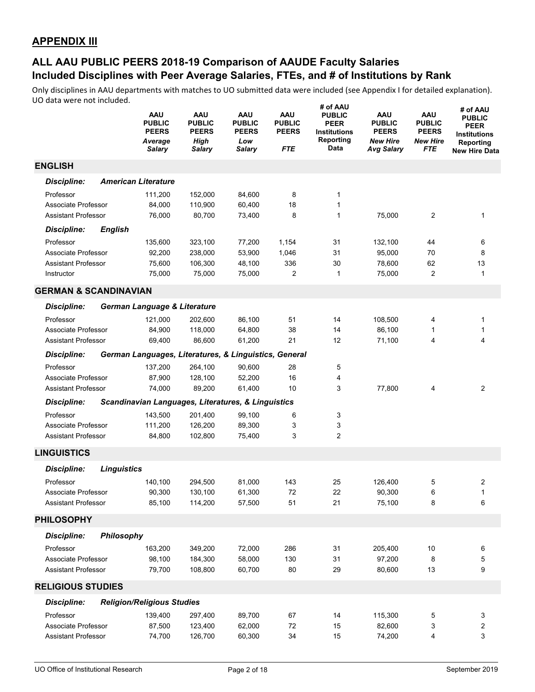|                                  |                    | AAU<br><b>PUBLIC</b><br><b>PEERS</b><br>Average<br>Salary | AAU<br><b>PUBLIC</b><br><b>PEERS</b><br><b>High</b><br>Salary | AAU<br><b>PUBLIC</b><br><b>PEERS</b><br>Low<br>Salary | <b>AAU</b><br><b>PUBLIC</b><br><b>PEERS</b><br><b>FTE</b> | # of AAU<br><b>PUBLIC</b><br><b>PEER</b><br><b>Institutions</b><br>Reporting<br>Data | <b>AAU</b><br><b>PUBLIC</b><br><b>PEERS</b><br><b>New Hire</b><br>Avg Salary | AAU<br><b>PUBLIC</b><br><b>PEERS</b><br><b>New Hire</b><br>FTE | # of AAU<br><b>PUBLIC</b><br>PEER<br><b>Institutions</b><br>Reporting<br><b>New Hire Data</b> |
|----------------------------------|--------------------|-----------------------------------------------------------|---------------------------------------------------------------|-------------------------------------------------------|-----------------------------------------------------------|--------------------------------------------------------------------------------------|------------------------------------------------------------------------------|----------------------------------------------------------------|-----------------------------------------------------------------------------------------------|
| <b>ENGLISH</b>                   |                    |                                                           |                                                               |                                                       |                                                           |                                                                                      |                                                                              |                                                                |                                                                                               |
| Discipline:                      |                    | <b>American Literature</b>                                |                                                               |                                                       |                                                           |                                                                                      |                                                                              |                                                                |                                                                                               |
| Professor                        |                    | 111,200                                                   | 152,000                                                       | 84,600                                                | 8                                                         | 1                                                                                    |                                                                              |                                                                |                                                                                               |
| Associate Professor              |                    | 84,000                                                    | 110,900                                                       | 60,400                                                | 18                                                        | 1                                                                                    |                                                                              |                                                                |                                                                                               |
| <b>Assistant Professor</b>       |                    | 76,000                                                    | 80,700                                                        | 73,400                                                | 8                                                         | $\mathbf{1}$                                                                         | 75.000                                                                       | 2                                                              | $\mathbf{1}$                                                                                  |
| <b>Discipline:</b>               | <b>English</b>     |                                                           |                                                               |                                                       |                                                           |                                                                                      |                                                                              |                                                                |                                                                                               |
| Professor                        |                    | 135,600                                                   | 323,100                                                       | 77,200                                                | 1,154                                                     | 31                                                                                   | 132,100                                                                      | 44                                                             | 6                                                                                             |
| Associate Professor              |                    | 92,200                                                    | 238,000                                                       | 53,900                                                | 1,046                                                     | 31                                                                                   | 95,000                                                                       | 70                                                             | 8                                                                                             |
| <b>Assistant Professor</b>       |                    | 75,600                                                    | 106,300                                                       | 48,100                                                | 336                                                       | 30                                                                                   | 78,600                                                                       | 62                                                             | 13                                                                                            |
| Instructor                       |                    | 75,000                                                    | 75,000                                                        | 75,000                                                | 2                                                         | 1                                                                                    | 75,000                                                                       | $\overline{2}$                                                 | $\mathbf{1}$                                                                                  |
| <b>GERMAN &amp; SCANDINAVIAN</b> |                    |                                                           |                                                               |                                                       |                                                           |                                                                                      |                                                                              |                                                                |                                                                                               |
| <b>Discipline:</b>               |                    | German Language & Literature                              |                                                               |                                                       |                                                           |                                                                                      |                                                                              |                                                                |                                                                                               |
| Professor                        |                    | 121,000                                                   | 202,600                                                       | 86,100                                                | 51                                                        | 14                                                                                   | 108,500                                                                      | 4                                                              | 1                                                                                             |
| Associate Professor              |                    | 84,900                                                    | 118,000                                                       | 64,800                                                | 38                                                        | 14                                                                                   | 86,100                                                                       | 1                                                              | 1                                                                                             |
| <b>Assistant Professor</b>       |                    | 69,400                                                    | 86,600                                                        | 61,200                                                | 21                                                        | 12                                                                                   | 71,100                                                                       | 4                                                              | 4                                                                                             |
| <b>Discipline:</b>               |                    | German Languages, Literatures, & Linguistics, General     |                                                               |                                                       |                                                           |                                                                                      |                                                                              |                                                                |                                                                                               |
| Professor                        |                    | 137,200                                                   | 264,100                                                       | 90,600                                                | 28                                                        | 5                                                                                    |                                                                              |                                                                |                                                                                               |
| Associate Professor              |                    | 87,900                                                    | 128,100                                                       | 52,200                                                | 16                                                        | 4                                                                                    |                                                                              |                                                                |                                                                                               |
| <b>Assistant Professor</b>       |                    | 74,000                                                    | 89,200                                                        | 61,400                                                | 10                                                        | 3                                                                                    | 77,800                                                                       | 4                                                              | 2                                                                                             |
| <b>Discipline:</b>               |                    | Scandinavian Languages, Literatures, & Linguistics        |                                                               |                                                       |                                                           |                                                                                      |                                                                              |                                                                |                                                                                               |
| Professor                        |                    | 143,500                                                   | 201,400                                                       | 99,100                                                | 6                                                         | 3                                                                                    |                                                                              |                                                                |                                                                                               |
| Associate Professor              |                    | 111,200                                                   | 126,200                                                       | 89,300                                                | 3                                                         | 3                                                                                    |                                                                              |                                                                |                                                                                               |
| <b>Assistant Professor</b>       |                    | 84,800                                                    | 102,800                                                       | 75,400                                                | 3                                                         | 2                                                                                    |                                                                              |                                                                |                                                                                               |
| <b>LINGUISTICS</b>               |                    |                                                           |                                                               |                                                       |                                                           |                                                                                      |                                                                              |                                                                |                                                                                               |
| <b>Discipline:</b>               | <b>Linguistics</b> |                                                           |                                                               |                                                       |                                                           |                                                                                      |                                                                              |                                                                |                                                                                               |
| Professor                        |                    | 140,100                                                   | 294,500                                                       | 81.000                                                | 143                                                       | 25                                                                                   | 126,400                                                                      | 5                                                              | 2                                                                                             |
| Associate Professor              |                    | 90,300                                                    | 130,100                                                       | 61,300                                                | 72                                                        | 22                                                                                   | 90,300                                                                       | 6                                                              | $\mathbf{1}$                                                                                  |
| <b>Assistant Professor</b>       |                    | 85,100                                                    | 114,200                                                       | 57,500                                                | 51                                                        | 21                                                                                   | 75,100                                                                       | 8                                                              | 6                                                                                             |
| <b>PHILOSOPHY</b>                |                    |                                                           |                                                               |                                                       |                                                           |                                                                                      |                                                                              |                                                                |                                                                                               |
| <b>Discipline:</b>               | Philosophy         |                                                           |                                                               |                                                       |                                                           |                                                                                      |                                                                              |                                                                |                                                                                               |
| Professor                        |                    | 163,200                                                   | 349,200                                                       | 72,000                                                | 286                                                       | 31                                                                                   | 205,400                                                                      | 10                                                             | 6                                                                                             |
| Associate Professor              |                    | 98,100                                                    | 184,300                                                       | 58,000                                                | 130                                                       | 31                                                                                   | 97,200                                                                       | 8                                                              | 5                                                                                             |
| <b>Assistant Professor</b>       |                    | 79,700                                                    | 108,800                                                       | 60,700                                                | 80                                                        | 29                                                                                   | 80,600                                                                       | 13                                                             | 9                                                                                             |
| <b>RELIGIOUS STUDIES</b>         |                    |                                                           |                                                               |                                                       |                                                           |                                                                                      |                                                                              |                                                                |                                                                                               |
| <b>Discipline:</b>               |                    | <b>Religion/Religious Studies</b>                         |                                                               |                                                       |                                                           |                                                                                      |                                                                              |                                                                |                                                                                               |
| Professor                        |                    | 139,400                                                   | 297,400                                                       | 89,700                                                | 67                                                        | 14                                                                                   | 115,300                                                                      | 5                                                              | 3                                                                                             |
| Associate Professor              |                    | 87,500                                                    | 123,400                                                       | 62,000                                                | 72                                                        | 15                                                                                   | 82,600                                                                       | 3                                                              | 2                                                                                             |
| <b>Assistant Professor</b>       |                    | 74,700                                                    | 126,700                                                       | 60,300                                                | 34                                                        | 15                                                                                   | 74,200                                                                       | 4                                                              | 3                                                                                             |
|                                  |                    |                                                           |                                                               |                                                       |                                                           |                                                                                      |                                                                              |                                                                |                                                                                               |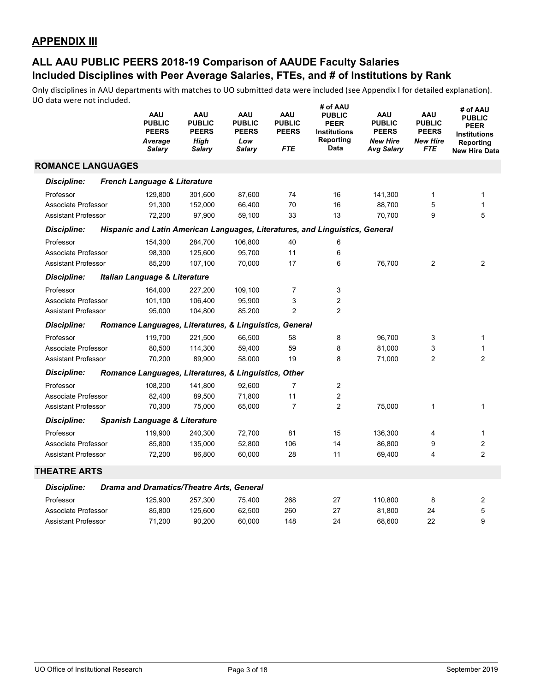|                            | <b>AAU</b><br><b>PUBLIC</b><br><b>PEERS</b><br>Average<br>Salary | <b>AAU</b><br><b>PUBLIC</b><br><b>PEERS</b><br>High<br>Salary | <b>AAU</b><br><b>PUBLIC</b><br><b>PEERS</b><br>Low<br><b>Salary</b> | <b>AAU</b><br><b>PUBLIC</b><br><b>PEERS</b><br><b>FTE</b> | # of AAU<br><b>PUBLIC</b><br><b>PEER</b><br><b>Institutions</b><br>Reporting<br>Data | <b>AAU</b><br><b>PUBLIC</b><br><b>PEERS</b><br><b>New Hire</b><br><b>Avg Salary</b> | <b>AAU</b><br><b>PUBLIC</b><br><b>PEERS</b><br><b>New Hire</b><br><b>FTE</b> | # of AAU<br><b>PUBLIC</b><br><b>PEER</b><br>Institutions<br>Reporting<br><b>New Hire Data</b> |
|----------------------------|------------------------------------------------------------------|---------------------------------------------------------------|---------------------------------------------------------------------|-----------------------------------------------------------|--------------------------------------------------------------------------------------|-------------------------------------------------------------------------------------|------------------------------------------------------------------------------|-----------------------------------------------------------------------------------------------|
| <b>ROMANCE LANGUAGES</b>   |                                                                  |                                                               |                                                                     |                                                           |                                                                                      |                                                                                     |                                                                              |                                                                                               |
| <b>Discipline:</b>         | French Language & Literature                                     |                                                               |                                                                     |                                                           |                                                                                      |                                                                                     |                                                                              |                                                                                               |
| Professor                  | 129.800                                                          | 301,600                                                       | 87,600                                                              | 74                                                        | 16                                                                                   | 141,300                                                                             | $\mathbf{1}$                                                                 | 1                                                                                             |
| Associate Professor        | 91,300                                                           | 152,000                                                       | 66,400                                                              | 70                                                        | 16                                                                                   | 88.700                                                                              | 5                                                                            | $\mathbf{1}$                                                                                  |
| <b>Assistant Professor</b> | 72,200                                                           | 97,900                                                        | 59,100                                                              | 33                                                        | 13                                                                                   | 70,700                                                                              | 9                                                                            | 5                                                                                             |
| <b>Discipline:</b>         |                                                                  |                                                               |                                                                     |                                                           | Hispanic and Latin American Languages, Literatures, and Linguistics, General         |                                                                                     |                                                                              |                                                                                               |
| Professor                  | 154,300                                                          | 284,700                                                       | 106,800                                                             | 40                                                        | 6                                                                                    |                                                                                     |                                                                              |                                                                                               |
| Associate Professor        | 98,300                                                           | 125,600                                                       | 95,700                                                              | 11                                                        | 6                                                                                    |                                                                                     |                                                                              |                                                                                               |
| <b>Assistant Professor</b> | 85,200                                                           | 107,100                                                       | 70,000                                                              | 17                                                        | 6                                                                                    | 76,700                                                                              | 2                                                                            | 2                                                                                             |
| <b>Discipline:</b>         | <b>Italian Language &amp; Literature</b>                         |                                                               |                                                                     |                                                           |                                                                                      |                                                                                     |                                                                              |                                                                                               |
| Professor                  | 164,000                                                          | 227,200                                                       | 109,100                                                             | $\overline{7}$                                            | 3                                                                                    |                                                                                     |                                                                              |                                                                                               |
| Associate Professor        | 101,100                                                          | 106,400                                                       | 95,900                                                              | 3                                                         | $\overline{c}$                                                                       |                                                                                     |                                                                              |                                                                                               |
| <b>Assistant Professor</b> | 95,000                                                           | 104,800                                                       | 85,200                                                              | $\overline{2}$                                            | $\overline{2}$                                                                       |                                                                                     |                                                                              |                                                                                               |
| <b>Discipline:</b>         | Romance Languages, Literatures, & Linguistics, General           |                                                               |                                                                     |                                                           |                                                                                      |                                                                                     |                                                                              |                                                                                               |
| Professor                  | 119,700                                                          | 221,500                                                       | 66,500                                                              | 58                                                        | 8                                                                                    | 96,700                                                                              | 3                                                                            | 1                                                                                             |
| Associate Professor        | 80,500                                                           | 114,300                                                       | 59,400                                                              | 59                                                        | 8                                                                                    | 81,000                                                                              | 3                                                                            | 1                                                                                             |
| <b>Assistant Professor</b> | 70,200                                                           | 89,900                                                        | 58,000                                                              | 19                                                        | 8                                                                                    | 71,000                                                                              | 2                                                                            | $\overline{2}$                                                                                |
| <b>Discipline:</b>         | Romance Languages, Literatures, & Linguistics, Other             |                                                               |                                                                     |                                                           |                                                                                      |                                                                                     |                                                                              |                                                                                               |
| Professor                  | 108,200                                                          | 141,800                                                       | 92,600                                                              | $\overline{7}$                                            | 2                                                                                    |                                                                                     |                                                                              |                                                                                               |
| Associate Professor        | 82,400                                                           | 89,500                                                        | 71,800                                                              | 11                                                        | $\overline{c}$                                                                       |                                                                                     |                                                                              |                                                                                               |
| <b>Assistant Professor</b> | 70,300                                                           | 75,000                                                        | 65,000                                                              | $\overline{7}$                                            | $\overline{c}$                                                                       | 75,000                                                                              | $\mathbf{1}$                                                                 | 1                                                                                             |
| <b>Discipline:</b>         | Spanish Language & Literature                                    |                                                               |                                                                     |                                                           |                                                                                      |                                                                                     |                                                                              |                                                                                               |
| Professor                  | 119,900                                                          | 240,300                                                       | 72,700                                                              | 81                                                        | 15                                                                                   | 136,300                                                                             | 4                                                                            | 1                                                                                             |
| Associate Professor        | 85,800                                                           | 135,000                                                       | 52,800                                                              | 106                                                       | 14                                                                                   | 86,800                                                                              | 9                                                                            | $\overline{c}$                                                                                |
| <b>Assistant Professor</b> | 72,200                                                           | 86,800                                                        | 60,000                                                              | 28                                                        | 11                                                                                   | 69,400                                                                              | 4                                                                            | $\overline{2}$                                                                                |
| <b>THEATRE ARTS</b>        |                                                                  |                                                               |                                                                     |                                                           |                                                                                      |                                                                                     |                                                                              |                                                                                               |
| <b>Discipline:</b>         | <b>Drama and Dramatics/Theatre Arts, General</b>                 |                                                               |                                                                     |                                                           |                                                                                      |                                                                                     |                                                                              |                                                                                               |
| Professor                  | 125,900                                                          | 257,300                                                       | 75,400                                                              | 268                                                       | 27                                                                                   | 110,800                                                                             | 8                                                                            | 2                                                                                             |
| Associate Professor        | 85,800                                                           | 125,600                                                       | 62,500                                                              | 260                                                       | 27                                                                                   | 81,800                                                                              | 24                                                                           | 5                                                                                             |
| Assistant Professor        | 71,200                                                           | 90,200                                                        | 60.000                                                              | 148                                                       | 24                                                                                   | 68,600                                                                              | 22                                                                           | 9                                                                                             |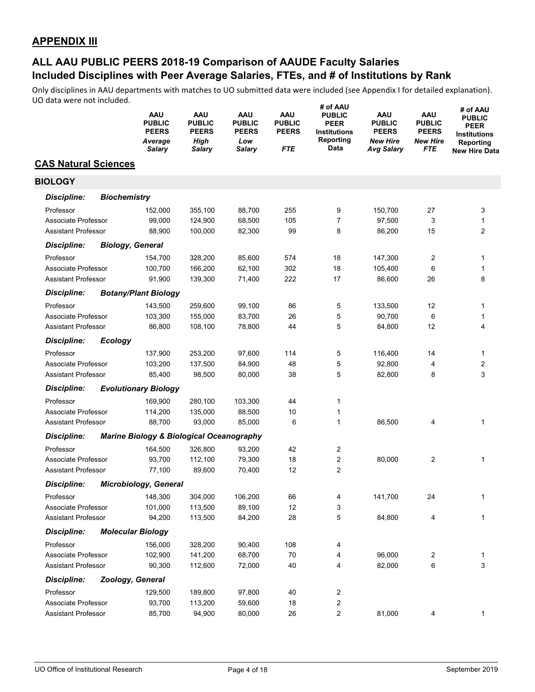|                             |                     | AAU<br><b>PUBLIC</b><br><b>PEERS</b><br>Average<br>Salary | AAU<br><b>PUBLIC</b><br><b>PEERS</b><br><b>High</b><br>Salary | AAU<br><b>PUBLIC</b><br><b>PEERS</b><br>Low<br><b>Salary</b> | <b>AAU</b><br><b>PUBLIC</b><br><b>PEERS</b><br>FTE | # of AAU<br><b>PUBLIC</b><br><b>PEER</b><br><b>Institutions</b><br>Reporting<br>Data | AAU<br><b>PUBLIC</b><br><b>PEERS</b><br><b>New Hire</b><br>Avg Salary | AAU<br><b>PUBLIC</b><br><b>PEERS</b><br><b>New Hire</b><br>FTE | # of AAU<br><b>PUBLIC</b><br><b>PEER</b><br><b>Institutions</b><br>Reporting<br><b>New Hire Data</b> |
|-----------------------------|---------------------|-----------------------------------------------------------|---------------------------------------------------------------|--------------------------------------------------------------|----------------------------------------------------|--------------------------------------------------------------------------------------|-----------------------------------------------------------------------|----------------------------------------------------------------|------------------------------------------------------------------------------------------------------|
| <b>CAS Natural Sciences</b> |                     |                                                           |                                                               |                                                              |                                                    |                                                                                      |                                                                       |                                                                |                                                                                                      |
| <b>BIOLOGY</b>              |                     |                                                           |                                                               |                                                              |                                                    |                                                                                      |                                                                       |                                                                |                                                                                                      |
| Discipline:                 | <b>Biochemistry</b> |                                                           |                                                               |                                                              |                                                    |                                                                                      |                                                                       |                                                                |                                                                                                      |
| Professor                   |                     | 152,000                                                   | 355,100                                                       | 88,700                                                       | 255                                                | 9                                                                                    | 150,700                                                               | 27                                                             | 3                                                                                                    |
| Associate Professor         |                     | 99,000                                                    | 124,900                                                       | 68,500                                                       | 105                                                | 7                                                                                    | 97,500                                                                | 3                                                              | $\mathbf{1}$                                                                                         |
| <b>Assistant Professor</b>  |                     | 88,900                                                    | 100,000                                                       | 82,300                                                       | 99                                                 | 8                                                                                    | 86,200                                                                | 15                                                             | $\overline{2}$                                                                                       |
| <b>Discipline:</b>          |                     | <b>Biology, General</b>                                   |                                                               |                                                              |                                                    |                                                                                      |                                                                       |                                                                |                                                                                                      |
| Professor                   |                     | 154,700                                                   | 328,200                                                       | 85,600                                                       | 574                                                | 18                                                                                   | 147,300                                                               | 2                                                              | 1                                                                                                    |
| Associate Professor         |                     | 100,700                                                   | 166,200                                                       | 62,100                                                       | 302                                                | 18                                                                                   | 105,400                                                               | 6                                                              | 1                                                                                                    |
| <b>Assistant Professor</b>  |                     | 91,900                                                    | 139,300                                                       | 71,400                                                       | 222                                                | 17                                                                                   | 86,600                                                                | 26                                                             | 8                                                                                                    |
| <b>Discipline:</b>          |                     | <b>Botany/Plant Biology</b>                               |                                                               |                                                              |                                                    |                                                                                      |                                                                       |                                                                |                                                                                                      |
| Professor                   |                     | 143,500                                                   | 259,600                                                       | 99,100                                                       | 86                                                 | 5                                                                                    | 133,500                                                               | 12                                                             | 1                                                                                                    |
| Associate Professor         |                     | 103,300                                                   | 155,000                                                       | 83,700                                                       | 26                                                 | 5                                                                                    | 90,700                                                                | 6                                                              | 1                                                                                                    |
| <b>Assistant Professor</b>  |                     | 86,800                                                    | 108,100                                                       | 78,800                                                       | 44                                                 | 5                                                                                    | 84,800                                                                | 12                                                             | 4                                                                                                    |
| <b>Discipline:</b>          | <b>Ecology</b>      |                                                           |                                                               |                                                              |                                                    |                                                                                      |                                                                       |                                                                |                                                                                                      |
| Professor                   |                     | 137,900                                                   | 253,200                                                       | 97,600                                                       | 114                                                | 5                                                                                    | 116,400                                                               | 14                                                             | 1                                                                                                    |
| Associate Professor         |                     | 103,200                                                   | 137,500                                                       | 84,900                                                       | 48                                                 | 5                                                                                    | 92,800                                                                | 4                                                              | $\overline{2}$                                                                                       |
| <b>Assistant Professor</b>  |                     | 85,400                                                    | 98,500                                                        | 80,000                                                       | 38                                                 | 5                                                                                    | 82,800                                                                | 8                                                              | 3                                                                                                    |
| <b>Discipline:</b>          |                     | <b>Evolutionary Biology</b>                               |                                                               |                                                              |                                                    |                                                                                      |                                                                       |                                                                |                                                                                                      |
| Professor                   |                     | 169,900                                                   | 280,100                                                       | 103,300                                                      | 44                                                 | 1                                                                                    |                                                                       |                                                                |                                                                                                      |
| Associate Professor         |                     | 114,200                                                   | 135,000                                                       | 88,500                                                       | 10                                                 | 1                                                                                    |                                                                       |                                                                |                                                                                                      |
| <b>Assistant Professor</b>  |                     | 88,700                                                    | 93,000                                                        | 85,000                                                       | 6                                                  | 1                                                                                    | 86,500                                                                | 4                                                              | 1                                                                                                    |
| <b>Discipline:</b>          |                     | <b>Marine Biology &amp; Biological Oceanography</b>       |                                                               |                                                              |                                                    |                                                                                      |                                                                       |                                                                |                                                                                                      |
| Professor                   |                     | 164,500                                                   | 326,800                                                       | 93,200                                                       | 42                                                 | 2                                                                                    |                                                                       |                                                                |                                                                                                      |
| Associate Professor         |                     | 93,700                                                    | 112,100                                                       | 79,300                                                       | 18                                                 | 2                                                                                    | 80,000                                                                | 2                                                              | 1                                                                                                    |
| <b>Assistant Professor</b>  |                     | 77,100                                                    | 89,600                                                        | 70,400                                                       | 12                                                 | 2                                                                                    |                                                                       |                                                                |                                                                                                      |
| <b>Discipline:</b>          |                     | <b>Microbiology, General</b>                              |                                                               |                                                              |                                                    |                                                                                      |                                                                       |                                                                |                                                                                                      |
| Professor                   |                     | 148,300                                                   | 304,000                                                       | 106,200                                                      | 66                                                 |                                                                                      | 141,700                                                               | 24                                                             |                                                                                                      |
| Associate Professor         |                     | 101,000                                                   | 113,500                                                       | 89,100                                                       | 12                                                 | 3                                                                                    |                                                                       |                                                                |                                                                                                      |
| <b>Assistant Professor</b>  |                     | 94,200                                                    | 113,500                                                       | 84,200                                                       | 28                                                 | 5                                                                                    | 84,800                                                                | 4                                                              | 1                                                                                                    |
| <b>Discipline:</b>          |                     | <b>Molecular Biology</b>                                  |                                                               |                                                              |                                                    |                                                                                      |                                                                       |                                                                |                                                                                                      |
| Professor                   |                     | 156,000                                                   | 328,200                                                       | 90,400                                                       | 108                                                | 4                                                                                    |                                                                       |                                                                |                                                                                                      |
| Associate Professor         |                     | 102,900                                                   | 141,200                                                       | 68,700                                                       | 70                                                 | 4                                                                                    | 96,000                                                                | 2                                                              | 1                                                                                                    |
| <b>Assistant Professor</b>  |                     | 90,300                                                    | 112,600                                                       | 72,000                                                       | 40                                                 | 4                                                                                    | 82,000                                                                | 6                                                              | 3                                                                                                    |
| <b>Discipline:</b>          |                     | Zoology, General                                          |                                                               |                                                              |                                                    |                                                                                      |                                                                       |                                                                |                                                                                                      |
| Professor                   |                     | 129,500                                                   | 189,800                                                       | 97,800                                                       | 40                                                 | 2                                                                                    |                                                                       |                                                                |                                                                                                      |
| Associate Professor         |                     | 93,700                                                    | 113,200                                                       | 59,600                                                       | 18                                                 | 2                                                                                    |                                                                       |                                                                |                                                                                                      |
| Assistant Professor         |                     | 85,700                                                    | 94,900                                                        | 80,000                                                       | 26                                                 | 2                                                                                    | 81,000                                                                | 4                                                              | 1                                                                                                    |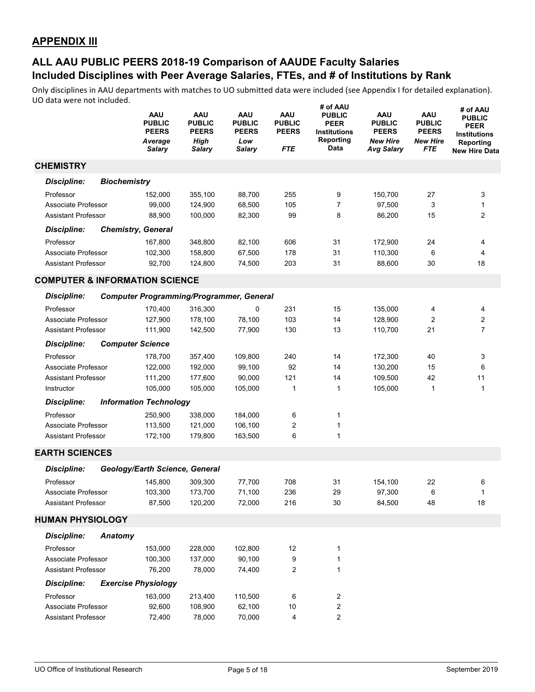|                                           |                     | AAU<br><b>PUBLIC</b><br><b>PEERS</b><br>Average<br>Salary | AAU<br><b>PUBLIC</b><br><b>PEERS</b><br><b>High</b><br>Salary | AAU<br><b>PUBLIC</b><br><b>PEERS</b><br>Low<br><b>Salary</b> | <b>AAU</b><br><b>PUBLIC</b><br><b>PEERS</b><br><b>FTE</b> | # of AAU<br><b>PUBLIC</b><br><b>PEER</b><br><b>Institutions</b><br>Reporting<br>Data | AAU<br><b>PUBLIC</b><br><b>PEERS</b><br><b>New Hire</b><br><b>Avg Salary</b> | <b>AAU</b><br><b>PUBLIC</b><br><b>PEERS</b><br><b>New Hire</b><br>FTE | # of AAU<br><b>PUBLIC</b><br><b>PEER</b><br><b>Institutions</b><br>Reporting<br><b>New Hire Data</b> |
|-------------------------------------------|---------------------|-----------------------------------------------------------|---------------------------------------------------------------|--------------------------------------------------------------|-----------------------------------------------------------|--------------------------------------------------------------------------------------|------------------------------------------------------------------------------|-----------------------------------------------------------------------|------------------------------------------------------------------------------------------------------|
| <b>CHEMISTRY</b>                          |                     |                                                           |                                                               |                                                              |                                                           |                                                                                      |                                                                              |                                                                       |                                                                                                      |
| Discipline:                               | <b>Biochemistry</b> |                                                           |                                                               |                                                              |                                                           |                                                                                      |                                                                              |                                                                       |                                                                                                      |
| Professor                                 |                     | 152,000                                                   | 355,100                                                       | 88,700                                                       | 255                                                       | 9                                                                                    | 150,700                                                                      | 27                                                                    | 3                                                                                                    |
| Associate Professor                       |                     | 99,000                                                    | 124,900                                                       | 68,500                                                       | 105                                                       | $\overline{7}$                                                                       | 97,500                                                                       | 3                                                                     | $\mathbf{1}$                                                                                         |
| <b>Assistant Professor</b>                |                     | 88,900                                                    | 100,000                                                       | 82,300                                                       | 99                                                        | 8                                                                                    | 86,200                                                                       | 15                                                                    | $\overline{2}$                                                                                       |
| <b>Discipline:</b>                        |                     | <b>Chemistry, General</b>                                 |                                                               |                                                              |                                                           |                                                                                      |                                                                              |                                                                       |                                                                                                      |
| Professor                                 |                     | 167,800                                                   | 348,800                                                       | 82,100                                                       | 606                                                       | 31                                                                                   | 172,900                                                                      | 24                                                                    | 4                                                                                                    |
| Associate Professor                       |                     | 102,300                                                   | 158,800                                                       | 67,500                                                       | 178                                                       | 31                                                                                   | 110,300                                                                      | 6                                                                     | 4                                                                                                    |
| <b>Assistant Professor</b>                |                     | 92,700                                                    | 124,800                                                       | 74,500                                                       | 203                                                       | 31                                                                                   | 88,600                                                                       | 30                                                                    | 18                                                                                                   |
| <b>COMPUTER &amp; INFORMATION SCIENCE</b> |                     |                                                           |                                                               |                                                              |                                                           |                                                                                      |                                                                              |                                                                       |                                                                                                      |
| <b>Discipline:</b>                        |                     | <b>Computer Programming/Programmer, General</b>           |                                                               |                                                              |                                                           |                                                                                      |                                                                              |                                                                       |                                                                                                      |
| Professor                                 |                     | 170,400                                                   | 316,300                                                       | 0                                                            | 231                                                       | 15                                                                                   | 135,000                                                                      | 4                                                                     | 4                                                                                                    |
| Associate Professor                       |                     | 127,900                                                   | 178,100                                                       | 78,100                                                       | 103                                                       | 14                                                                                   | 128,900                                                                      | $\overline{2}$                                                        | 2                                                                                                    |
| <b>Assistant Professor</b>                |                     | 111,900                                                   | 142,500                                                       | 77,900                                                       | 130                                                       | 13                                                                                   | 110,700                                                                      | 21                                                                    | $\overline{7}$                                                                                       |
| <b>Discipline:</b>                        |                     | <b>Computer Science</b>                                   |                                                               |                                                              |                                                           |                                                                                      |                                                                              |                                                                       |                                                                                                      |
| Professor                                 |                     | 178,700                                                   | 357,400                                                       | 109,800                                                      | 240                                                       | 14                                                                                   | 172,300                                                                      | 40                                                                    | 3                                                                                                    |
| Associate Professor                       |                     | 122,000                                                   | 192,000                                                       | 99,100                                                       | 92                                                        | 14                                                                                   | 130,200                                                                      | 15                                                                    | 6                                                                                                    |
| Assistant Professor                       |                     | 111,200                                                   | 177,600                                                       | 90,000                                                       | 121                                                       | 14                                                                                   | 109,500                                                                      | 42                                                                    | 11                                                                                                   |
| Instructor                                |                     | 105,000                                                   | 105,000                                                       | 105,000                                                      | $\mathbf 1$                                               | 1                                                                                    | 105,000                                                                      | 1                                                                     | 1                                                                                                    |
| <b>Discipline:</b>                        |                     | <b>Information Technology</b>                             |                                                               |                                                              |                                                           |                                                                                      |                                                                              |                                                                       |                                                                                                      |
| Professor                                 |                     | 250,900                                                   | 338,000                                                       | 184,000                                                      | 6                                                         | 1                                                                                    |                                                                              |                                                                       |                                                                                                      |
| Associate Professor                       |                     | 113,500                                                   | 121,000                                                       | 106,100                                                      | 2                                                         | 1                                                                                    |                                                                              |                                                                       |                                                                                                      |
| <b>Assistant Professor</b>                |                     | 172,100                                                   | 179,800                                                       | 163,500                                                      | 6                                                         | 1                                                                                    |                                                                              |                                                                       |                                                                                                      |
| <b>EARTH SCIENCES</b>                     |                     |                                                           |                                                               |                                                              |                                                           |                                                                                      |                                                                              |                                                                       |                                                                                                      |
| <b>Discipline:</b>                        |                     | Geology/Earth Science, General                            |                                                               |                                                              |                                                           |                                                                                      |                                                                              |                                                                       |                                                                                                      |
| Professor                                 |                     | 145,800                                                   | 309,300                                                       | 77,700                                                       | 708                                                       | 31                                                                                   | 154,100                                                                      | 22                                                                    | 6                                                                                                    |
| Associate Professor                       |                     | 103,300                                                   | 173,700                                                       | 71,100                                                       | 236                                                       | 29                                                                                   | 97,300                                                                       | 6                                                                     | $\mathbf{1}$                                                                                         |
| Assistant Professor                       |                     | 87,500                                                    | 120,200                                                       | 72,000                                                       | 216                                                       | 30                                                                                   | 84,500                                                                       | 48                                                                    | 18                                                                                                   |
| <b>HUMAN PHYSIOLOGY</b>                   |                     |                                                           |                                                               |                                                              |                                                           |                                                                                      |                                                                              |                                                                       |                                                                                                      |
| <b>Discipline:</b>                        | Anatomy             |                                                           |                                                               |                                                              |                                                           |                                                                                      |                                                                              |                                                                       |                                                                                                      |
| Professor                                 |                     | 153,000                                                   | 228,000                                                       | 102,800                                                      | 12                                                        | 1                                                                                    |                                                                              |                                                                       |                                                                                                      |
| Associate Professor                       |                     | 100,300                                                   | 137,000                                                       | 90,100                                                       | 9                                                         | 1                                                                                    |                                                                              |                                                                       |                                                                                                      |
| <b>Assistant Professor</b>                |                     | 76,200                                                    | 78,000                                                        | 74,400                                                       | 2                                                         | 1                                                                                    |                                                                              |                                                                       |                                                                                                      |
| <b>Discipline:</b>                        |                     | <b>Exercise Physiology</b>                                |                                                               |                                                              |                                                           |                                                                                      |                                                                              |                                                                       |                                                                                                      |
| Professor                                 |                     | 163,000                                                   | 213,400                                                       | 110,500                                                      | 6                                                         | 2                                                                                    |                                                                              |                                                                       |                                                                                                      |
| Associate Professor                       |                     | 92,600                                                    | 108,900                                                       | 62,100                                                       | 10                                                        | $\mathbf{2}$                                                                         |                                                                              |                                                                       |                                                                                                      |
| <b>Assistant Professor</b>                |                     | 72,400                                                    | 78,000                                                        | 70,000                                                       | 4                                                         | $\overline{c}$                                                                       |                                                                              |                                                                       |                                                                                                      |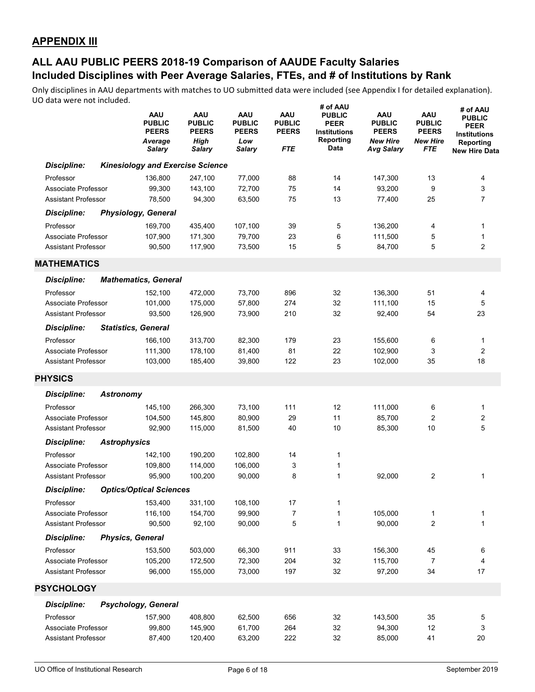|                            |                     | <b>AAU</b><br><b>PUBLIC</b><br><b>PEERS</b><br>Average<br>Salary | <b>AAU</b><br><b>PUBLIC</b><br><b>PEERS</b><br><b>High</b><br>Salary | AAU<br><b>PUBLIC</b><br><b>PEERS</b><br>Low<br>Salary | AAU<br><b>PUBLIC</b><br><b>PEERS</b><br><b>FTE</b> | # of AAU<br><b>PUBLIC</b><br><b>PEER</b><br><b>Institutions</b><br>Reporting<br>Data | AAU<br><b>PUBLIC</b><br><b>PEERS</b><br><b>New Hire</b><br><b>Avg Salary</b> | <b>AAU</b><br><b>PUBLIC</b><br><b>PEERS</b><br><b>New Hire</b><br>FTE | # of AAU<br><b>PUBLIC</b><br><b>PEER</b><br><b>Institutions</b><br>Reporting<br><b>New Hire Data</b> |
|----------------------------|---------------------|------------------------------------------------------------------|----------------------------------------------------------------------|-------------------------------------------------------|----------------------------------------------------|--------------------------------------------------------------------------------------|------------------------------------------------------------------------------|-----------------------------------------------------------------------|------------------------------------------------------------------------------------------------------|
| <b>Discipline:</b>         |                     | <b>Kinesiology and Exercise Science</b>                          |                                                                      |                                                       |                                                    |                                                                                      |                                                                              |                                                                       |                                                                                                      |
| Professor                  |                     | 136,800                                                          | 247,100                                                              | 77,000                                                | 88                                                 | 14                                                                                   | 147,300                                                                      | 13                                                                    | 4                                                                                                    |
| Associate Professor        |                     | 99,300                                                           | 143,100                                                              | 72,700                                                | 75                                                 | 14                                                                                   | 93,200                                                                       | 9                                                                     | 3                                                                                                    |
| <b>Assistant Professor</b> |                     | 78,500                                                           | 94,300                                                               | 63,500                                                | 75                                                 | 13                                                                                   | 77,400                                                                       | 25                                                                    | $\overline{7}$                                                                                       |
| <b>Discipline:</b>         |                     | <b>Physiology, General</b>                                       |                                                                      |                                                       |                                                    |                                                                                      |                                                                              |                                                                       |                                                                                                      |
| Professor                  |                     | 169,700                                                          | 435,400                                                              | 107,100                                               | 39                                                 | 5                                                                                    | 136,200                                                                      | 4                                                                     | 1                                                                                                    |
| Associate Professor        |                     | 107,900                                                          | 171,300                                                              | 79,700                                                | 23                                                 | 6                                                                                    | 111,500                                                                      | 5                                                                     | 1                                                                                                    |
| <b>Assistant Professor</b> |                     | 90,500                                                           | 117,900                                                              | 73,500                                                | 15                                                 | 5                                                                                    | 84,700                                                                       | 5                                                                     | $\overline{2}$                                                                                       |
| <b>MATHEMATICS</b>         |                     |                                                                  |                                                                      |                                                       |                                                    |                                                                                      |                                                                              |                                                                       |                                                                                                      |
| <b>Discipline:</b>         |                     | <b>Mathematics, General</b>                                      |                                                                      |                                                       |                                                    |                                                                                      |                                                                              |                                                                       |                                                                                                      |
| Professor                  |                     | 152,100                                                          | 472,000                                                              | 73,700                                                | 896                                                | 32                                                                                   | 136,300                                                                      | 51                                                                    | 4                                                                                                    |
| Associate Professor        |                     | 101,000                                                          | 175,000                                                              | 57,800                                                | 274                                                | 32                                                                                   | 111,100                                                                      | 15                                                                    | 5                                                                                                    |
| <b>Assistant Professor</b> |                     | 93,500                                                           | 126,900                                                              | 73,900                                                | 210                                                | 32                                                                                   | 92,400                                                                       | 54                                                                    | 23                                                                                                   |
| <b>Discipline:</b>         |                     | <b>Statistics, General</b>                                       |                                                                      |                                                       |                                                    |                                                                                      |                                                                              |                                                                       |                                                                                                      |
| Professor                  |                     | 166,100                                                          | 313,700                                                              | 82,300                                                | 179                                                | 23                                                                                   | 155,600                                                                      | 6                                                                     | 1                                                                                                    |
| Associate Professor        |                     | 111,300                                                          | 178,100                                                              | 81,400                                                | 81                                                 | 22                                                                                   | 102,900                                                                      | 3                                                                     | $\overline{2}$                                                                                       |
| <b>Assistant Professor</b> |                     | 103,000                                                          | 185,400                                                              | 39,800                                                | 122                                                | 23                                                                                   | 102,000                                                                      | 35                                                                    | 18                                                                                                   |
| <b>PHYSICS</b>             |                     |                                                                  |                                                                      |                                                       |                                                    |                                                                                      |                                                                              |                                                                       |                                                                                                      |
| <b>Discipline:</b>         | <b>Astronomy</b>    |                                                                  |                                                                      |                                                       |                                                    |                                                                                      |                                                                              |                                                                       |                                                                                                      |
| Professor                  |                     | 145,100                                                          | 266,300                                                              | 73,100                                                | 111                                                | 12                                                                                   | 111,000                                                                      | 6                                                                     | 1                                                                                                    |
| Associate Professor        |                     | 104,500                                                          | 145,800                                                              | 80,900                                                | 29                                                 | 11                                                                                   | 85,700                                                                       | 2                                                                     | $\boldsymbol{2}$                                                                                     |
| <b>Assistant Professor</b> |                     | 92,900                                                           | 115,000                                                              | 81,500                                                | 40                                                 | 10                                                                                   | 85,300                                                                       | 10                                                                    | 5                                                                                                    |
| <b>Discipline:</b>         | <b>Astrophysics</b> |                                                                  |                                                                      |                                                       |                                                    |                                                                                      |                                                                              |                                                                       |                                                                                                      |
| Professor                  |                     | 142,100                                                          | 190,200                                                              | 102,800                                               | 14                                                 | 1                                                                                    |                                                                              |                                                                       |                                                                                                      |
| Associate Professor        |                     | 109,800                                                          | 114,000                                                              | 106,000                                               | 3                                                  | 1                                                                                    |                                                                              |                                                                       |                                                                                                      |
| <b>Assistant Professor</b> |                     | 95,900                                                           | 100,200                                                              | 90,000                                                | 8                                                  | 1                                                                                    | 92,000                                                                       | 2                                                                     | 1                                                                                                    |
| <b>Discipline:</b>         |                     | <b>Optics/Optical Sciences</b>                                   |                                                                      |                                                       |                                                    |                                                                                      |                                                                              |                                                                       |                                                                                                      |
| Professor                  |                     | 153,400                                                          | 331,100                                                              | 108,100                                               | 17                                                 | 1                                                                                    |                                                                              |                                                                       |                                                                                                      |
| Associate Professor        |                     | 116,100                                                          | 154,700                                                              | 99,900                                                | 7                                                  | 1                                                                                    | 105,000                                                                      | 1                                                                     | 1                                                                                                    |
| <b>Assistant Professor</b> |                     | 90,500                                                           | 92,100                                                               | 90,000                                                | 5                                                  | 1                                                                                    | 90,000                                                                       | 2                                                                     | 1                                                                                                    |
| <b>Discipline:</b>         |                     | <b>Physics, General</b>                                          |                                                                      |                                                       |                                                    |                                                                                      |                                                                              |                                                                       |                                                                                                      |
| Professor                  |                     | 153,500                                                          | 503,000                                                              | 66,300                                                | 911                                                | 33                                                                                   | 156,300                                                                      | 45                                                                    | 6                                                                                                    |
| Associate Professor        |                     | 105,200                                                          | 172,500                                                              | 72,300                                                | 204                                                | 32                                                                                   | 115,700                                                                      | 7                                                                     | 4                                                                                                    |
| <b>Assistant Professor</b> |                     | 96,000                                                           | 155,000                                                              | 73,000                                                | 197                                                | 32                                                                                   | 97,200                                                                       | 34                                                                    | 17                                                                                                   |
| <b>PSYCHOLOGY</b>          |                     |                                                                  |                                                                      |                                                       |                                                    |                                                                                      |                                                                              |                                                                       |                                                                                                      |
| <b>Discipline:</b>         |                     | Psychology, General                                              |                                                                      |                                                       |                                                    |                                                                                      |                                                                              |                                                                       |                                                                                                      |
| Professor                  |                     | 157,900                                                          | 408,800                                                              | 62,500                                                | 656                                                | 32                                                                                   | 143,500                                                                      | 35                                                                    | 5                                                                                                    |
| Associate Professor        |                     | 99,800                                                           | 145,900                                                              | 61,700                                                | 264                                                | 32                                                                                   | 94,300                                                                       | 12                                                                    | 3                                                                                                    |
| <b>Assistant Professor</b> |                     | 87,400                                                           | 120,400                                                              | 63,200                                                | 222                                                | 32                                                                                   | 85,000                                                                       | 41                                                                    | 20                                                                                                   |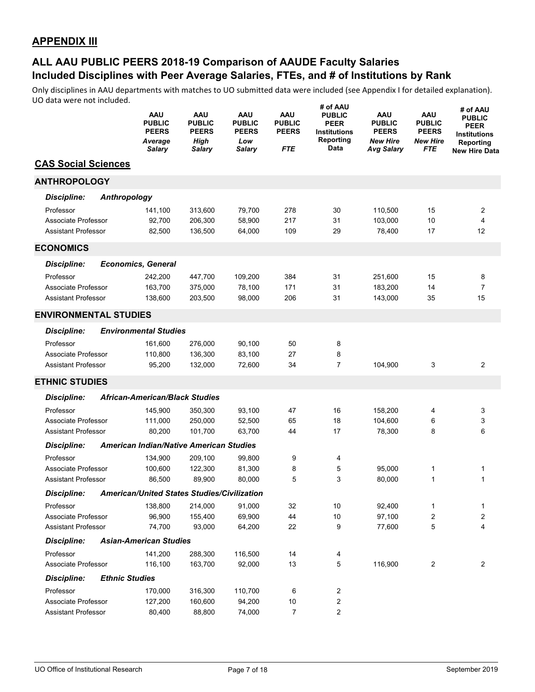|                              |              | <b>AAU</b><br><b>PUBLIC</b><br><b>PEERS</b><br>Average<br>Salary | AAU<br><b>PUBLIC</b><br><b>PEERS</b><br>High<br>Salary | AAU<br><b>PUBLIC</b><br><b>PEERS</b><br>Low<br><b>Salary</b> | AAU<br><b>PUBLIC</b><br><b>PEERS</b><br><b>FTE</b> | # of AAU<br><b>PUBLIC</b><br><b>PEER</b><br><b>Institutions</b><br>Reporting<br>Data | AAU<br><b>PUBLIC</b><br><b>PEERS</b><br><b>New Hire</b><br>Avg Salary | AAU<br><b>PUBLIC</b><br><b>PEERS</b><br><b>New Hire</b><br><b>FTE</b> | # of AAU<br><b>PUBLIC</b><br><b>PEER</b><br><b>Institutions</b><br>Reporting<br><b>New Hire Data</b> |
|------------------------------|--------------|------------------------------------------------------------------|--------------------------------------------------------|--------------------------------------------------------------|----------------------------------------------------|--------------------------------------------------------------------------------------|-----------------------------------------------------------------------|-----------------------------------------------------------------------|------------------------------------------------------------------------------------------------------|
| <b>CAS Social Sciences</b>   |              |                                                                  |                                                        |                                                              |                                                    |                                                                                      |                                                                       |                                                                       |                                                                                                      |
| <b>ANTHROPOLOGY</b>          |              |                                                                  |                                                        |                                                              |                                                    |                                                                                      |                                                                       |                                                                       |                                                                                                      |
| <b>Discipline:</b>           | Anthropology |                                                                  |                                                        |                                                              |                                                    |                                                                                      |                                                                       |                                                                       |                                                                                                      |
| Professor                    |              | 141,100                                                          | 313,600                                                | 79,700                                                       | 278                                                | 30                                                                                   | 110,500                                                               | 15                                                                    | 2                                                                                                    |
| Associate Professor          |              | 92,700                                                           | 206,300                                                | 58,900                                                       | 217                                                | 31                                                                                   | 103,000                                                               | 10                                                                    | $\overline{4}$                                                                                       |
| <b>Assistant Professor</b>   |              | 82,500                                                           | 136,500                                                | 64,000                                                       | 109                                                | 29                                                                                   | 78,400                                                                | 17                                                                    | 12                                                                                                   |
| <b>ECONOMICS</b>             |              |                                                                  |                                                        |                                                              |                                                    |                                                                                      |                                                                       |                                                                       |                                                                                                      |
| <b>Discipline:</b>           |              | <b>Economics, General</b>                                        |                                                        |                                                              |                                                    |                                                                                      |                                                                       |                                                                       |                                                                                                      |
| Professor                    |              | 242,200                                                          | 447,700                                                | 109,200                                                      | 384                                                | 31                                                                                   | 251,600                                                               | 15                                                                    | 8                                                                                                    |
| Associate Professor          |              | 163,700                                                          | 375,000                                                | 78,100                                                       | 171                                                | 31                                                                                   | 183,200                                                               | 14                                                                    | $\overline{7}$                                                                                       |
| Assistant Professor          |              | 138,600                                                          | 203,500                                                | 98,000                                                       | 206                                                | 31                                                                                   | 143,000                                                               | 35                                                                    | 15                                                                                                   |
| <b>ENVIRONMENTAL STUDIES</b> |              |                                                                  |                                                        |                                                              |                                                    |                                                                                      |                                                                       |                                                                       |                                                                                                      |
| <b>Discipline:</b>           |              | <b>Environmental Studies</b>                                     |                                                        |                                                              |                                                    |                                                                                      |                                                                       |                                                                       |                                                                                                      |
| Professor                    |              | 161,600                                                          | 276,000                                                | 90,100                                                       | 50                                                 | 8                                                                                    |                                                                       |                                                                       |                                                                                                      |
| Associate Professor          |              | 110,800                                                          | 136,300                                                | 83.100                                                       | 27                                                 | 8                                                                                    |                                                                       |                                                                       |                                                                                                      |
| <b>Assistant Professor</b>   |              | 95,200                                                           | 132,000                                                | 72,600                                                       | 34                                                 | $\overline{7}$                                                                       | 104,900                                                               | 3                                                                     | 2                                                                                                    |
| <b>ETHNIC STUDIES</b>        |              |                                                                  |                                                        |                                                              |                                                    |                                                                                      |                                                                       |                                                                       |                                                                                                      |
| <b>Discipline:</b>           |              | <b>African-American/Black Studies</b>                            |                                                        |                                                              |                                                    |                                                                                      |                                                                       |                                                                       |                                                                                                      |
| Professor                    |              | 145,900                                                          | 350,300                                                | 93,100                                                       | 47                                                 | 16                                                                                   | 158,200                                                               | 4                                                                     | 3                                                                                                    |
| Associate Professor          |              | 111,000                                                          | 250,000                                                | 52,500                                                       | 65                                                 | 18                                                                                   | 104,600                                                               | 6                                                                     | 3                                                                                                    |
| <b>Assistant Professor</b>   |              | 80,200                                                           | 101,700                                                | 63,700                                                       | 44                                                 | 17                                                                                   | 78,300                                                                | 8                                                                     | 6                                                                                                    |
| <b>Discipline:</b>           |              | <b>American Indian/Native American Studies</b>                   |                                                        |                                                              |                                                    |                                                                                      |                                                                       |                                                                       |                                                                                                      |
| Professor                    |              | 134,900                                                          | 209,100                                                | 99,800                                                       | 9                                                  | 4                                                                                    |                                                                       |                                                                       |                                                                                                      |
| Associate Professor          |              | 100,600                                                          | 122,300                                                | 81,300                                                       | 8                                                  | 5                                                                                    | 95,000                                                                | 1                                                                     | 1                                                                                                    |
| <b>Assistant Professor</b>   |              | 86,500                                                           | 89,900                                                 | 80,000                                                       | 5                                                  | 3                                                                                    | 80.000                                                                | 1                                                                     | 1                                                                                                    |
| Discipline:                  |              | American/United States Studies/Civilization                      |                                                        |                                                              |                                                    |                                                                                      |                                                                       |                                                                       |                                                                                                      |
| Professor                    |              | 138,800                                                          | 214,000                                                | 91,000                                                       | 32                                                 | 10                                                                                   | 92,400                                                                | 1                                                                     | 1                                                                                                    |
| Associate Professor          |              | 96,900                                                           | 155,400                                                | 69,900                                                       | 44                                                 | $10$                                                                                 | 97,100                                                                | 2                                                                     | 2                                                                                                    |
| <b>Assistant Professor</b>   |              | 74,700                                                           | 93,000                                                 | 64,200                                                       | 22                                                 | 9                                                                                    | 77,600                                                                | 5                                                                     | 4                                                                                                    |
| <b>Discipline:</b>           |              | <b>Asian-American Studies</b>                                    |                                                        |                                                              |                                                    |                                                                                      |                                                                       |                                                                       |                                                                                                      |
| Professor                    |              | 141,200                                                          | 288,300                                                | 116,500                                                      | 14                                                 | 4                                                                                    |                                                                       |                                                                       |                                                                                                      |
| Associate Professor          |              | 116,100                                                          | 163,700                                                | 92,000                                                       | 13                                                 | 5                                                                                    | 116,900                                                               | 2                                                                     | 2                                                                                                    |
| <b>Discipline:</b>           |              | <b>Ethnic Studies</b>                                            |                                                        |                                                              |                                                    |                                                                                      |                                                                       |                                                                       |                                                                                                      |
| Professor                    |              | 170,000                                                          | 316,300                                                | 110,700                                                      | 6                                                  | 2                                                                                    |                                                                       |                                                                       |                                                                                                      |
| Associate Professor          |              | 127,200                                                          | 160,600                                                | 94,200                                                       | $10\,$                                             | 2                                                                                    |                                                                       |                                                                       |                                                                                                      |
| Assistant Professor          |              | 80,400                                                           | 88,800                                                 | 74,000                                                       | $\overline{7}$                                     | $\mathbf{2}$                                                                         |                                                                       |                                                                       |                                                                                                      |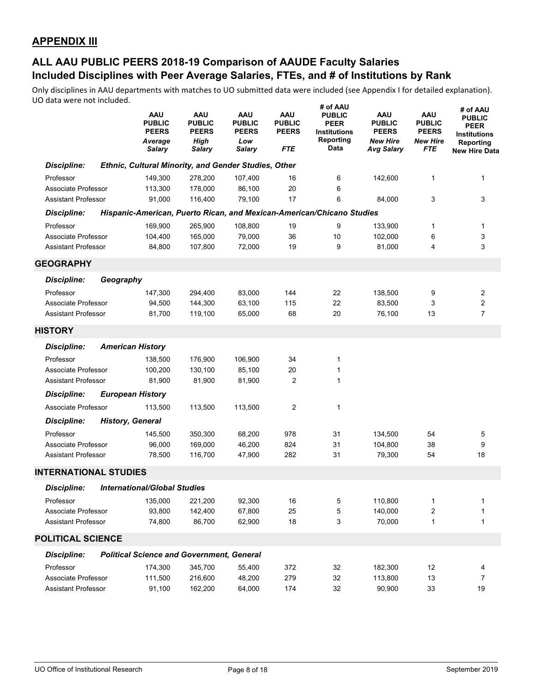|                              |           | AAU<br><b>PUBLIC</b><br><b>PEERS</b><br>Average<br><b>Salary</b> | AAU<br><b>PUBLIC</b><br><b>PEERS</b><br>High<br>Salary | AAU<br><b>PUBLIC</b><br><b>PEERS</b><br>Low<br><b>Salary</b> | <b>AAU</b><br><b>PUBLIC</b><br><b>PEERS</b><br>FTE | # of AAU<br><b>PUBLIC</b><br><b>PEER</b><br><b>Institutions</b><br>Reporting<br>Data | <b>AAU</b><br><b>PUBLIC</b><br><b>PEERS</b><br><b>New Hire</b><br><b>Avg Salary</b> | <b>AAU</b><br><b>PUBLIC</b><br><b>PEERS</b><br><b>New Hire</b><br>FTE | # of AAU<br><b>PUBLIC</b><br><b>PEER</b><br><b>Institutions</b><br>Reporting<br><b>New Hire Data</b> |
|------------------------------|-----------|------------------------------------------------------------------|--------------------------------------------------------|--------------------------------------------------------------|----------------------------------------------------|--------------------------------------------------------------------------------------|-------------------------------------------------------------------------------------|-----------------------------------------------------------------------|------------------------------------------------------------------------------------------------------|
| <b>Discipline:</b>           |           | Ethnic, Cultural Minority, and Gender Studies, Other             |                                                        |                                                              |                                                    |                                                                                      |                                                                                     |                                                                       |                                                                                                      |
| Professor                    |           | 149,300                                                          | 278,200                                                | 107,400                                                      | 16                                                 | 6                                                                                    | 142,600                                                                             | 1                                                                     | 1                                                                                                    |
| Associate Professor          |           | 113,300                                                          | 178,000                                                | 86,100                                                       | 20                                                 | 6                                                                                    |                                                                                     |                                                                       |                                                                                                      |
| <b>Assistant Professor</b>   |           | 91,000                                                           | 116,400                                                | 79,100                                                       | 17                                                 | 6                                                                                    | 84,000                                                                              | 3                                                                     | 3                                                                                                    |
| <b>Discipline:</b>           |           |                                                                  |                                                        |                                                              |                                                    | Hispanic-American, Puerto Rican, and Mexican-American/Chicano Studies                |                                                                                     |                                                                       |                                                                                                      |
| Professor                    |           | 169,900                                                          | 265,900                                                | 108,800                                                      | 19                                                 | 9                                                                                    | 133,900                                                                             | 1                                                                     | 1                                                                                                    |
| Associate Professor          |           | 104,400                                                          | 165,000                                                | 79,000                                                       | 36                                                 | 10                                                                                   | 102,000                                                                             | 6                                                                     | 3                                                                                                    |
| <b>Assistant Professor</b>   |           | 84,800                                                           | 107,800                                                | 72,000                                                       | 19                                                 | 9                                                                                    | 81,000                                                                              | 4                                                                     | 3                                                                                                    |
| <b>GEOGRAPHY</b>             |           |                                                                  |                                                        |                                                              |                                                    |                                                                                      |                                                                                     |                                                                       |                                                                                                      |
| <b>Discipline:</b>           | Geography |                                                                  |                                                        |                                                              |                                                    |                                                                                      |                                                                                     |                                                                       |                                                                                                      |
| Professor                    |           | 147,300                                                          | 294,400                                                | 83,000                                                       | 144                                                | 22                                                                                   | 138,500                                                                             | 9                                                                     | 2                                                                                                    |
| Associate Professor          |           | 94,500                                                           | 144,300                                                | 63,100                                                       | 115                                                | 22                                                                                   | 83,500                                                                              | 3                                                                     | 2                                                                                                    |
| <b>Assistant Professor</b>   |           | 81,700                                                           | 119,100                                                | 65,000                                                       | 68                                                 | 20                                                                                   | 76,100                                                                              | 13                                                                    | $\overline{7}$                                                                                       |
| <b>HISTORY</b>               |           |                                                                  |                                                        |                                                              |                                                    |                                                                                      |                                                                                     |                                                                       |                                                                                                      |
| <b>Discipline:</b>           |           | <b>American History</b>                                          |                                                        |                                                              |                                                    |                                                                                      |                                                                                     |                                                                       |                                                                                                      |
| Professor                    |           | 138,500                                                          | 176,900                                                | 106,900                                                      | 34                                                 | 1                                                                                    |                                                                                     |                                                                       |                                                                                                      |
| Associate Professor          |           | 100,200                                                          | 130,100                                                | 85,100                                                       | 20                                                 | 1                                                                                    |                                                                                     |                                                                       |                                                                                                      |
| <b>Assistant Professor</b>   |           | 81,900                                                           | 81,900                                                 | 81,900                                                       | $\overline{2}$                                     | 1                                                                                    |                                                                                     |                                                                       |                                                                                                      |
| <b>Discipline:</b>           |           | <b>European History</b>                                          |                                                        |                                                              |                                                    |                                                                                      |                                                                                     |                                                                       |                                                                                                      |
| Associate Professor          |           | 113,500                                                          | 113,500                                                | 113,500                                                      | 2                                                  | 1                                                                                    |                                                                                     |                                                                       |                                                                                                      |
| <b>Discipline:</b>           |           | <b>History, General</b>                                          |                                                        |                                                              |                                                    |                                                                                      |                                                                                     |                                                                       |                                                                                                      |
| Professor                    |           | 145,500                                                          | 350,300                                                | 68,200                                                       | 978                                                | 31                                                                                   | 134,500                                                                             | 54                                                                    | 5                                                                                                    |
| Associate Professor          |           | 96,000                                                           | 169,000                                                | 46,200                                                       | 824                                                | 31                                                                                   | 104,800                                                                             | 38                                                                    | 9                                                                                                    |
| <b>Assistant Professor</b>   |           | 78,500                                                           | 116,700                                                | 47,900                                                       | 282                                                | 31                                                                                   | 79,300                                                                              | 54                                                                    | 18                                                                                                   |
| <b>INTERNATIONAL STUDIES</b> |           |                                                                  |                                                        |                                                              |                                                    |                                                                                      |                                                                                     |                                                                       |                                                                                                      |
| <b>Discipline:</b>           |           | <b>International/Global Studies</b>                              |                                                        |                                                              |                                                    |                                                                                      |                                                                                     |                                                                       |                                                                                                      |
| Professor                    |           | 135,000                                                          | 221,200                                                | 92,300                                                       | $16\,$                                             | 5                                                                                    | 110,800                                                                             | 1                                                                     | 1                                                                                                    |
| Associate Professor          |           | 93,800                                                           | 142,400                                                | 67,800                                                       | 25                                                 | 5                                                                                    | 140,000                                                                             | 2                                                                     | 1                                                                                                    |
| <b>Assistant Professor</b>   |           | 74,800                                                           | 86,700                                                 | 62,900                                                       | 18                                                 | 3                                                                                    | 70,000                                                                              | 1                                                                     | 1                                                                                                    |
| POLITICAL SCIENCE            |           |                                                                  |                                                        |                                                              |                                                    |                                                                                      |                                                                                     |                                                                       |                                                                                                      |
| <b>Discipline:</b>           |           | <b>Political Science and Government, General</b>                 |                                                        |                                                              |                                                    |                                                                                      |                                                                                     |                                                                       |                                                                                                      |
| Professor                    |           | 174,300                                                          | 345,700                                                | 55,400                                                       | 372                                                | 32                                                                                   | 182,300                                                                             | 12                                                                    | 4                                                                                                    |
| Associate Professor          |           | 111,500                                                          | 216,600                                                | 48,200                                                       | 279                                                | 32                                                                                   | 113,800                                                                             | 13                                                                    | 7                                                                                                    |
| <b>Assistant Professor</b>   |           | 91,100                                                           | 162,200                                                | 64,000                                                       | 174                                                | 32                                                                                   | 90,900                                                                              | 33                                                                    | 19                                                                                                   |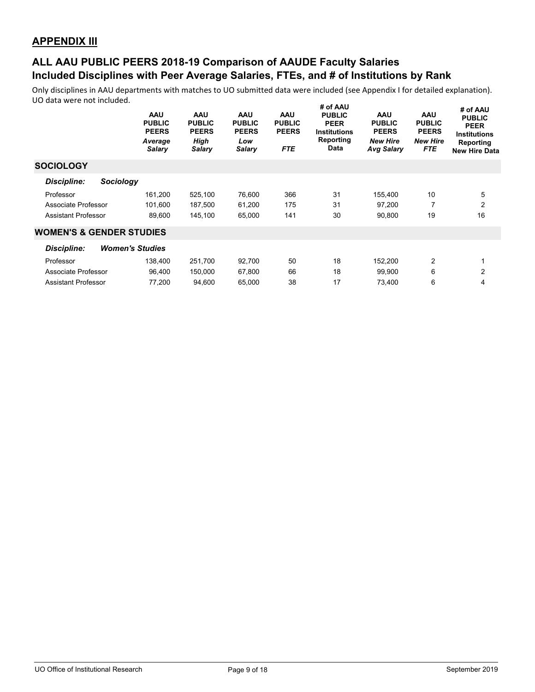|                                     | <b>AAU</b><br><b>PUBLIC</b><br><b>PEERS</b><br>Average<br>Salary | AAU<br><b>PUBLIC</b><br><b>PEERS</b><br>High<br><b>Salary</b> | AAU<br><b>PUBLIC</b><br><b>PEERS</b><br>Low<br><b>Salary</b> | <b>AAU</b><br><b>PUBLIC</b><br><b>PEERS</b><br><b>FTE</b> | # OT AAU<br><b>PUBLIC</b><br><b>PEER</b><br><b>Institutions</b><br>Reporting<br><b>Data</b> | <b>AAU</b><br><b>PUBLIC</b><br><b>PEERS</b><br><b>New Hire</b><br><b>Avg Salary</b> | <b>AAU</b><br><b>PUBLIC</b><br><b>PEERS</b><br><b>New Hire</b><br><b>FTE</b> | # of AAU<br><b>PUBLIC</b><br><b>PEER</b><br><b>Institutions</b><br>Reporting<br><b>New Hire Data</b> |
|-------------------------------------|------------------------------------------------------------------|---------------------------------------------------------------|--------------------------------------------------------------|-----------------------------------------------------------|---------------------------------------------------------------------------------------------|-------------------------------------------------------------------------------------|------------------------------------------------------------------------------|------------------------------------------------------------------------------------------------------|
| <b>SOCIOLOGY</b>                    |                                                                  |                                                               |                                                              |                                                           |                                                                                             |                                                                                     |                                                                              |                                                                                                      |
| <b>Sociology</b><br>Discipline:     |                                                                  |                                                               |                                                              |                                                           |                                                                                             |                                                                                     |                                                                              |                                                                                                      |
| Professor                           | 161,200                                                          | 525,100                                                       | 76,600                                                       | 366                                                       | 31                                                                                          | 155,400                                                                             | 10                                                                           | 5                                                                                                    |
| Associate Professor                 | 101,600                                                          | 187,500                                                       | 61,200                                                       | 175                                                       | 31                                                                                          | 97,200                                                                              | 7                                                                            | $\overline{2}$                                                                                       |
| <b>Assistant Professor</b>          | 89,600                                                           | 145,100                                                       | 65,000                                                       | 141                                                       | 30                                                                                          | 90,800                                                                              | 19                                                                           | 16                                                                                                   |
| <b>WOMEN'S &amp; GENDER STUDIES</b> |                                                                  |                                                               |                                                              |                                                           |                                                                                             |                                                                                     |                                                                              |                                                                                                      |
| <b>Discipline:</b>                  | <b>Women's Studies</b>                                           |                                                               |                                                              |                                                           |                                                                                             |                                                                                     |                                                                              |                                                                                                      |
| Professor                           | 138,400                                                          | 251,700                                                       | 92,700                                                       | 50                                                        | 18                                                                                          | 152,200                                                                             | 2                                                                            | 1                                                                                                    |
| Associate Professor                 | 96,400                                                           | 150,000                                                       | 67,800                                                       | 66                                                        | 18                                                                                          | 99,900                                                                              | 6                                                                            | $\overline{2}$                                                                                       |
| <b>Assistant Professor</b>          | 77,200                                                           | 94.600                                                        | 65,000                                                       | 38                                                        | 17                                                                                          | 73.400                                                                              | 6                                                                            | 4                                                                                                    |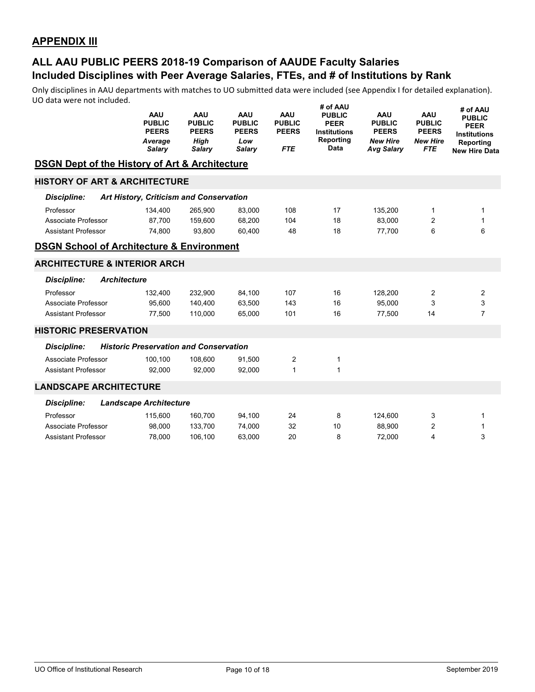# **Included Disciplines with Peer Average Salaries, FTEs, and # of Institutions by Rank ALL AAU PUBLIC PEERS 2018-19 Comparison of AAUDE Faculty Salaries**

|                                                           | <b>AAU</b><br><b>PUBLIC</b><br><b>PEERS</b><br>Average<br>Salary | <b>AAU</b><br><b>PUBLIC</b><br><b>PEERS</b><br>High<br><b>Salary</b> | <b>AAU</b><br><b>PUBLIC</b><br><b>PEERS</b><br>Low<br><b>Salary</b> | <b>AAU</b><br><b>PUBLIC</b><br><b>PEERS</b><br><b>FTE</b> | # of AAU<br><b>PUBLIC</b><br><b>PEER</b><br><b>Institutions</b><br>Reporting<br>Data | <b>AAU</b><br><b>PUBLIC</b><br><b>PEERS</b><br><b>New Hire</b><br><b>Avg Salary</b> | <b>AAU</b><br><b>PUBLIC</b><br><b>PEERS</b><br><b>New Hire</b><br><b>FTE</b> | # of AAU<br><b>PUBLIC</b><br><b>PEER</b><br><b>Institutions</b><br>Reporting<br><b>New Hire Data</b> |
|-----------------------------------------------------------|------------------------------------------------------------------|----------------------------------------------------------------------|---------------------------------------------------------------------|-----------------------------------------------------------|--------------------------------------------------------------------------------------|-------------------------------------------------------------------------------------|------------------------------------------------------------------------------|------------------------------------------------------------------------------------------------------|
| <b>DSGN Dept of the History of Art &amp; Architecture</b> |                                                                  |                                                                      |                                                                     |                                                           |                                                                                      |                                                                                     |                                                                              |                                                                                                      |
| <b>HISTORY OF ART &amp; ARCHITECTURE</b>                  |                                                                  |                                                                      |                                                                     |                                                           |                                                                                      |                                                                                     |                                                                              |                                                                                                      |
| Discipline:                                               | Art History, Criticism and Conservation                          |                                                                      |                                                                     |                                                           |                                                                                      |                                                                                     |                                                                              |                                                                                                      |
| Professor                                                 | 134.400                                                          | 265.900                                                              | 83,000                                                              | 108                                                       | 17                                                                                   | 135,200                                                                             | 1                                                                            | 1                                                                                                    |
| Associate Professor                                       | 87,700                                                           | 159,600                                                              | 68,200                                                              | 104                                                       | 18                                                                                   | 83.000                                                                              | 2                                                                            | 1                                                                                                    |
| <b>Assistant Professor</b>                                | 74,800                                                           | 93,800                                                               | 60,400                                                              | 48                                                        | 18                                                                                   | 77,700                                                                              | 6                                                                            | 6                                                                                                    |
| <b>DSGN School of Architecture &amp; Environment</b>      |                                                                  |                                                                      |                                                                     |                                                           |                                                                                      |                                                                                     |                                                                              |                                                                                                      |
| <b>ARCHITECTURE &amp; INTERIOR ARCH</b>                   |                                                                  |                                                                      |                                                                     |                                                           |                                                                                      |                                                                                     |                                                                              |                                                                                                      |
| <b>Discipline:</b><br><b>Architecture</b>                 |                                                                  |                                                                      |                                                                     |                                                           |                                                                                      |                                                                                     |                                                                              |                                                                                                      |
| Professor                                                 | 132,400                                                          | 232,900                                                              | 84,100                                                              | 107                                                       | 16                                                                                   | 128,200                                                                             | 2                                                                            | 2                                                                                                    |
| Associate Professor                                       | 95,600                                                           | 140,400                                                              | 63,500                                                              | 143                                                       | 16                                                                                   | 95.000                                                                              | 3                                                                            | 3                                                                                                    |
| Assistant Professor                                       | 77,500                                                           | 110,000                                                              | 65,000                                                              | 101                                                       | 16                                                                                   | 77,500                                                                              | 14                                                                           | $\overline{7}$                                                                                       |
| <b>HISTORIC PRESERVATION</b>                              |                                                                  |                                                                      |                                                                     |                                                           |                                                                                      |                                                                                     |                                                                              |                                                                                                      |
| Discipline:                                               | <b>Historic Preservation and Conservation</b>                    |                                                                      |                                                                     |                                                           |                                                                                      |                                                                                     |                                                                              |                                                                                                      |
| Associate Professor                                       | 100,100                                                          | 108,600                                                              | 91,500                                                              | 2                                                         | 1                                                                                    |                                                                                     |                                                                              |                                                                                                      |
| <b>Assistant Professor</b>                                | 92,000                                                           | 92,000                                                               | 92,000                                                              | $\mathbf{1}$                                              | $\mathbf{1}$                                                                         |                                                                                     |                                                                              |                                                                                                      |
| <b>LANDSCAPE ARCHITECTURE</b>                             |                                                                  |                                                                      |                                                                     |                                                           |                                                                                      |                                                                                     |                                                                              |                                                                                                      |
| <b>Discipline:</b>                                        | <b>Landscape Architecture</b>                                    |                                                                      |                                                                     |                                                           |                                                                                      |                                                                                     |                                                                              |                                                                                                      |
| Professor                                                 | 115,600                                                          | 160,700                                                              | 94,100                                                              | 24                                                        | 8                                                                                    | 124,600                                                                             | 3                                                                            | 1                                                                                                    |
| Associate Professor                                       | 98,000                                                           | 133.700                                                              | 74,000                                                              | 32                                                        | 10                                                                                   | 88.900                                                                              | 2                                                                            | 1                                                                                                    |
| <b>Assistant Professor</b>                                | 78,000                                                           | 106,100                                                              | 63.000                                                              | 20                                                        | 8                                                                                    | 72.000                                                                              | 4                                                                            | 3                                                                                                    |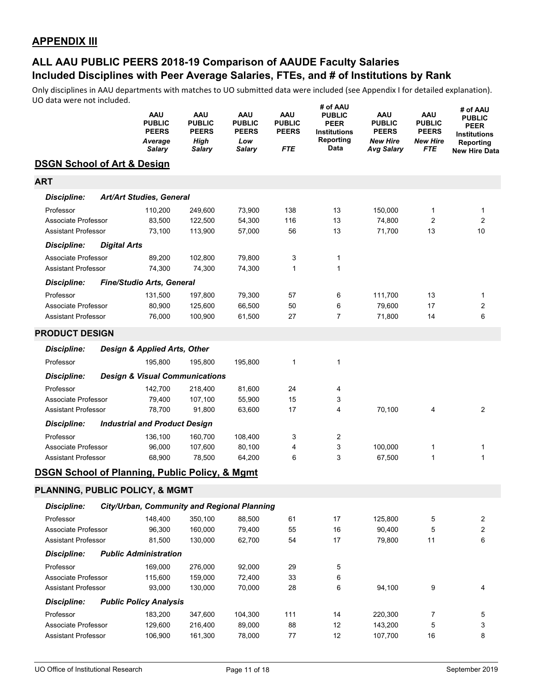# **Included Disciplines with Peer Average Salaries, FTEs, and # of Institutions by Rank ALL AAU PUBLIC PEERS 2018-19 Comparison of AAUDE Faculty Salaries**

|                                                           |                     | AAU<br><b>PUBLIC</b><br><b>PEERS</b><br>Average<br><b>Salary</b> | AAU<br><b>PUBLIC</b><br><b>PEERS</b><br>High<br>Salary | <b>AAU</b><br><b>PUBLIC</b><br><b>PEERS</b><br>Low<br>Salary | AAU<br><b>PUBLIC</b><br><b>PEERS</b><br>FTE | # of AAU<br><b>PUBLIC</b><br><b>PEER</b><br><b>Institutions</b><br>Reporting<br>Data | <b>AAU</b><br><b>PUBLIC</b><br><b>PEERS</b><br><b>New Hire</b><br><b>Avg Salary</b> | AAU<br><b>PUBLIC</b><br><b>PEERS</b><br><b>New Hire</b><br>FTE | # of AAU<br><b>PUBLIC</b><br>PEER<br><b>Institutions</b><br>Reporting<br>New Hire Data |
|-----------------------------------------------------------|---------------------|------------------------------------------------------------------|--------------------------------------------------------|--------------------------------------------------------------|---------------------------------------------|--------------------------------------------------------------------------------------|-------------------------------------------------------------------------------------|----------------------------------------------------------------|----------------------------------------------------------------------------------------|
| <b>DSGN School of Art &amp; Design</b>                    |                     |                                                                  |                                                        |                                                              |                                             |                                                                                      |                                                                                     |                                                                |                                                                                        |
| <b>ART</b>                                                |                     |                                                                  |                                                        |                                                              |                                             |                                                                                      |                                                                                     |                                                                |                                                                                        |
| <b>Discipline:</b>                                        |                     | Art/Art Studies, General                                         |                                                        |                                                              |                                             |                                                                                      |                                                                                     |                                                                |                                                                                        |
| Professor                                                 |                     | 110,200                                                          | 249,600                                                | 73,900                                                       | 138                                         | 13                                                                                   | 150,000                                                                             | 1                                                              | 1                                                                                      |
| Associate Professor                                       |                     | 83,500                                                           | 122,500                                                | 54,300                                                       | 116                                         | 13                                                                                   | 74,800                                                                              | $\overline{2}$                                                 | $\overline{c}$                                                                         |
| <b>Assistant Professor</b>                                |                     | 73,100                                                           | 113,900                                                | 57,000                                                       | 56                                          | 13                                                                                   | 71,700                                                                              | 13                                                             | 10                                                                                     |
| <b>Discipline:</b>                                        | <b>Digital Arts</b> |                                                                  |                                                        |                                                              |                                             |                                                                                      |                                                                                     |                                                                |                                                                                        |
| Associate Professor                                       |                     | 89,200                                                           | 102,800                                                | 79,800                                                       | 3                                           | 1                                                                                    |                                                                                     |                                                                |                                                                                        |
| <b>Assistant Professor</b>                                |                     | 74,300                                                           | 74,300                                                 | 74,300                                                       | 1                                           | 1                                                                                    |                                                                                     |                                                                |                                                                                        |
| <b>Discipline:</b>                                        |                     | <b>Fine/Studio Arts, General</b>                                 |                                                        |                                                              |                                             |                                                                                      |                                                                                     |                                                                |                                                                                        |
| Professor                                                 |                     | 131,500                                                          | 197,800                                                | 79,300                                                       | 57                                          | 6                                                                                    | 111,700                                                                             | 13                                                             | 1                                                                                      |
| Associate Professor                                       |                     | 80,900                                                           | 125,600                                                | 66,500                                                       | 50                                          | 6                                                                                    | 79,600                                                                              | 17                                                             | 2                                                                                      |
| <b>Assistant Professor</b>                                |                     | 76,000                                                           | 100,900                                                | 61,500                                                       | 27                                          | $\overline{7}$                                                                       | 71,800                                                                              | 14                                                             | 6                                                                                      |
| <b>PRODUCT DESIGN</b>                                     |                     |                                                                  |                                                        |                                                              |                                             |                                                                                      |                                                                                     |                                                                |                                                                                        |
| <b>Discipline:</b>                                        |                     | Design & Applied Arts, Other                                     |                                                        |                                                              |                                             |                                                                                      |                                                                                     |                                                                |                                                                                        |
| Professor                                                 |                     | 195,800                                                          | 195,800                                                | 195,800                                                      | 1                                           | 1                                                                                    |                                                                                     |                                                                |                                                                                        |
| <b>Discipline:</b>                                        |                     | <b>Design &amp; Visual Communications</b>                        |                                                        |                                                              |                                             |                                                                                      |                                                                                     |                                                                |                                                                                        |
| Professor                                                 |                     | 142,700                                                          | 218,400                                                | 81,600                                                       | 24                                          | 4                                                                                    |                                                                                     |                                                                |                                                                                        |
| Associate Professor                                       |                     | 79,400                                                           | 107,100                                                | 55,900                                                       | 15                                          | 3                                                                                    |                                                                                     |                                                                |                                                                                        |
| <b>Assistant Professor</b>                                |                     | 78,700                                                           | 91,800                                                 | 63,600                                                       | 17                                          | 4                                                                                    | 70,100                                                                              | 4                                                              | 2                                                                                      |
| <b>Discipline:</b>                                        |                     | <b>Industrial and Product Design</b>                             |                                                        |                                                              |                                             |                                                                                      |                                                                                     |                                                                |                                                                                        |
| Professor                                                 |                     | 136,100                                                          | 160,700                                                | 108,400                                                      | 3                                           | $\overline{c}$                                                                       |                                                                                     |                                                                |                                                                                        |
| Associate Professor<br><b>Assistant Professor</b>         |                     | 96,000<br>68,900                                                 | 107,600<br>78,500                                      | 80,100<br>64,200                                             | 4<br>6                                      | 3<br>3                                                                               | 100,000<br>67,500                                                                   | 1<br>1                                                         | 1<br>1                                                                                 |
|                                                           |                     |                                                                  |                                                        |                                                              |                                             |                                                                                      |                                                                                     |                                                                |                                                                                        |
| <b>DSGN School of Planning, Public Policy, &amp; Mgmt</b> |                     |                                                                  |                                                        |                                                              |                                             |                                                                                      |                                                                                     |                                                                |                                                                                        |
| PLANNING, PUBLIC POLICY, & MGMT                           |                     |                                                                  |                                                        |                                                              |                                             |                                                                                      |                                                                                     |                                                                |                                                                                        |
| <b>Discipline:</b>                                        |                     | City/Urban, Community and Regional Planning                      |                                                        |                                                              |                                             |                                                                                      |                                                                                     |                                                                |                                                                                        |
| Professor                                                 |                     | 148,400                                                          | 350,100                                                | 88,500                                                       | 61                                          | 17                                                                                   | 125,800                                                                             | 5                                                              | 2                                                                                      |
| Associate Professor                                       |                     | 96,300                                                           | 160,000                                                | 79,400                                                       | 55                                          | 16                                                                                   | 90,400                                                                              | 5                                                              | 2                                                                                      |
| <b>Assistant Professor</b>                                |                     | 81,500                                                           | 130,000                                                | 62,700                                                       | 54                                          | 17                                                                                   | 79,800                                                                              | 11                                                             | 6                                                                                      |
| <b>Discipline:</b>                                        |                     | <b>Public Administration</b>                                     |                                                        |                                                              |                                             |                                                                                      |                                                                                     |                                                                |                                                                                        |
| Professor                                                 |                     | 169,000                                                          | 276,000                                                | 92,000                                                       | 29                                          | 5                                                                                    |                                                                                     |                                                                |                                                                                        |
| Associate Professor                                       |                     | 115,600                                                          | 159,000                                                | 72,400                                                       | 33                                          | 6                                                                                    |                                                                                     |                                                                |                                                                                        |
| <b>Assistant Professor</b>                                |                     | 93,000                                                           | 130,000                                                | 70,000                                                       | 28                                          | 6                                                                                    | 94,100                                                                              | 9                                                              | 4                                                                                      |
| <b>Discipline:</b>                                        |                     | <b>Public Policy Analysis</b>                                    |                                                        |                                                              |                                             |                                                                                      |                                                                                     |                                                                |                                                                                        |
| Professor<br>Associate Professor                          |                     | 183,200<br>129,600                                               | 347,600<br>216,400                                     | 104,300<br>89,000                                            | 111<br>88                                   | 14<br>12                                                                             | 220,300<br>143,200                                                                  | 7<br>5                                                         | 5<br>3                                                                                 |
| Assistant Professor                                       |                     | 106,900                                                          | 161,300                                                | 78,000                                                       | 77                                          | 12                                                                                   | 107,700                                                                             | $16\,$                                                         | 8                                                                                      |
|                                                           |                     |                                                                  |                                                        |                                                              |                                             |                                                                                      |                                                                                     |                                                                |                                                                                        |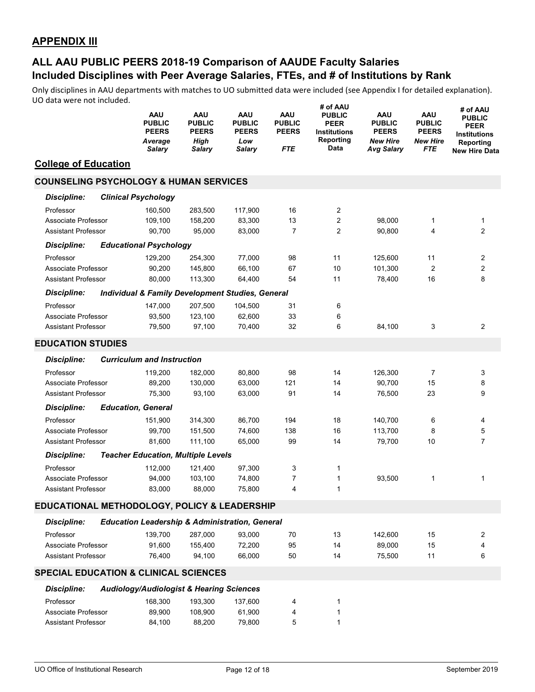|                                                   | <b>PUBLIC</b>                                               | <b>AAU</b><br><b>AAU</b><br><b>PUBLIC</b><br><b>PEERS</b><br><b>PEERS</b><br><b>High</b><br>Average<br>Salary<br>Salary | AAU<br><b>PUBLIC</b><br><b>PEERS</b><br>Low<br><b>Salary</b> | <b>AAU</b><br><b>PUBLIC</b><br><b>PEERS</b><br><b>FTE</b> | <b># OT AAU</b><br><b>PUBLIC</b><br><b>PEER</b><br><b>Institutions</b><br>Reporting<br>Data | <b>AAU</b><br><b>PUBLIC</b><br><b>PEERS</b><br><b>New Hire</b><br>Avg Salary | <b>AAU</b><br><b>PUBLIC</b><br><b>PEERS</b><br><b>New Hire</b><br>FTE | # of AAU<br><b>PUBLIC</b><br><b>PEER</b><br><b>Institutions</b><br>Reporting<br><b>New Hire Data</b> |
|---------------------------------------------------|-------------------------------------------------------------|-------------------------------------------------------------------------------------------------------------------------|--------------------------------------------------------------|-----------------------------------------------------------|---------------------------------------------------------------------------------------------|------------------------------------------------------------------------------|-----------------------------------------------------------------------|------------------------------------------------------------------------------------------------------|
| <b>College of Education</b>                       |                                                             |                                                                                                                         |                                                              |                                                           |                                                                                             |                                                                              |                                                                       |                                                                                                      |
| <b>COUNSELING PSYCHOLOGY &amp; HUMAN SERVICES</b> |                                                             |                                                                                                                         |                                                              |                                                           |                                                                                             |                                                                              |                                                                       |                                                                                                      |
| <b>Discipline:</b>                                | <b>Clinical Psychology</b>                                  |                                                                                                                         |                                                              |                                                           |                                                                                             |                                                                              |                                                                       |                                                                                                      |
| Professor                                         |                                                             | 160.500<br>283,500                                                                                                      | 117,900                                                      | 16                                                        | 2                                                                                           |                                                                              |                                                                       |                                                                                                      |
| Associate Professor                               |                                                             | 109,100<br>158,200                                                                                                      | 83,300                                                       | 13                                                        | 2                                                                                           | 98,000                                                                       | 1                                                                     | $\mathbf{1}$                                                                                         |
| <b>Assistant Professor</b>                        |                                                             | 90,700<br>95,000                                                                                                        | 83,000                                                       | $\overline{7}$                                            | 2                                                                                           | 90,800                                                                       | 4                                                                     | $\overline{2}$                                                                                       |
| <b>Discipline:</b>                                | <b>Educational Psychology</b>                               |                                                                                                                         |                                                              |                                                           |                                                                                             |                                                                              |                                                                       |                                                                                                      |
| Professor                                         |                                                             | 129,200<br>254,300                                                                                                      | 77,000                                                       | 98                                                        | 11                                                                                          | 125,600                                                                      | 11                                                                    | 2                                                                                                    |
| Associate Professor                               |                                                             | 90,200<br>145,800                                                                                                       | 66,100                                                       | 67                                                        | 10                                                                                          | 101,300                                                                      | 2                                                                     | $\overline{\mathbf{c}}$                                                                              |
| <b>Assistant Professor</b>                        |                                                             | 80,000<br>113,300                                                                                                       | 64,400                                                       | 54                                                        | 11                                                                                          | 78,400                                                                       | 16                                                                    | 8                                                                                                    |
| <b>Discipline:</b>                                | <b>Individual &amp; Family Development Studies, General</b> |                                                                                                                         |                                                              |                                                           |                                                                                             |                                                                              |                                                                       |                                                                                                      |
| Professor                                         |                                                             | 147,000<br>207,500                                                                                                      | 104,500                                                      | 31                                                        | 6                                                                                           |                                                                              |                                                                       |                                                                                                      |
| Associate Professor                               |                                                             | 93,500<br>123,100                                                                                                       | 62,600                                                       | 33                                                        | 6                                                                                           |                                                                              |                                                                       |                                                                                                      |
| <b>Assistant Professor</b>                        |                                                             | 79,500<br>97,100                                                                                                        | 70,400                                                       | 32                                                        | 6                                                                                           | 84,100                                                                       | 3                                                                     | $\overline{c}$                                                                                       |
| <b>EDUCATION STUDIES</b>                          |                                                             |                                                                                                                         |                                                              |                                                           |                                                                                             |                                                                              |                                                                       |                                                                                                      |
| <b>Discipline:</b>                                | <b>Curriculum and Instruction</b>                           |                                                                                                                         |                                                              |                                                           |                                                                                             |                                                                              |                                                                       |                                                                                                      |
| Professor                                         |                                                             | 119,200<br>182,000                                                                                                      | 80,800                                                       | 98                                                        | 14                                                                                          | 126,300                                                                      | 7                                                                     | 3                                                                                                    |
| Associate Professor                               |                                                             | 89,200<br>130,000                                                                                                       | 63,000                                                       | 121                                                       | 14                                                                                          | 90,700                                                                       | 15                                                                    | 8                                                                                                    |
| <b>Assistant Professor</b>                        |                                                             | 75,300<br>93,100                                                                                                        | 63,000                                                       | 91                                                        | 14                                                                                          | 76,500                                                                       | 23                                                                    | 9                                                                                                    |
| <b>Discipline:</b>                                | <b>Education, General</b>                                   |                                                                                                                         |                                                              |                                                           |                                                                                             |                                                                              |                                                                       |                                                                                                      |
| Professor                                         |                                                             | 151,900<br>314,300                                                                                                      | 86,700                                                       | 194                                                       | 18                                                                                          | 140,700                                                                      | 6                                                                     | 4                                                                                                    |
| Associate Professor                               |                                                             | 99,700<br>151,500                                                                                                       | 74,600                                                       | 138                                                       | 16                                                                                          | 113,700                                                                      | 8                                                                     | $\mathbf 5$                                                                                          |
| <b>Assistant Professor</b>                        |                                                             | 111,100<br>81,600                                                                                                       | 65,000                                                       | 99                                                        | 14                                                                                          | 79,700                                                                       | 10                                                                    | $\overline{7}$                                                                                       |
| <b>Discipline:</b>                                | <b>Teacher Education, Multiple Levels</b>                   |                                                                                                                         |                                                              |                                                           |                                                                                             |                                                                              |                                                                       |                                                                                                      |
| Professor                                         |                                                             | 112,000<br>121,400                                                                                                      | 97,300                                                       | 3                                                         | 1                                                                                           |                                                                              |                                                                       |                                                                                                      |
| Associate Professor                               |                                                             | 94,000<br>103,100                                                                                                       | 74,800                                                       | 7                                                         | 1                                                                                           | 93,500                                                                       | 1                                                                     | 1                                                                                                    |
| <b>Assistant Professor</b>                        |                                                             | 83,000<br>88,000                                                                                                        | 75,800                                                       | $\overline{\mathbf{4}}$                                   | $\mathbf{1}$                                                                                |                                                                              |                                                                       |                                                                                                      |
| EDUCATIONAL METHODOLOGY, POLICY & LEADERSHIP      |                                                             |                                                                                                                         |                                                              |                                                           |                                                                                             |                                                                              |                                                                       |                                                                                                      |
| <b>Discipline:</b>                                | <b>Education Leadership &amp; Administration, General</b>   |                                                                                                                         |                                                              |                                                           |                                                                                             |                                                                              |                                                                       |                                                                                                      |
| Professor                                         |                                                             | 139,700<br>287,000                                                                                                      | 93,000                                                       | 70                                                        | 13                                                                                          | 142,600                                                                      | 15                                                                    | 2                                                                                                    |
| Associate Professor                               |                                                             | 91,600<br>155,400                                                                                                       | 72,200                                                       | 95                                                        | 14                                                                                          | 89,000                                                                       | 15                                                                    | 4                                                                                                    |
| <b>Assistant Professor</b>                        |                                                             | 76,400<br>94,100                                                                                                        | 66,000                                                       | 50                                                        | 14                                                                                          | 75,500                                                                       | 11                                                                    | 6                                                                                                    |
| <b>SPECIAL EDUCATION &amp; CLINICAL SCIENCES</b>  |                                                             |                                                                                                                         |                                                              |                                                           |                                                                                             |                                                                              |                                                                       |                                                                                                      |
| <b>Discipline:</b>                                | <b>Audiology/Audiologist &amp; Hearing Sciences</b>         |                                                                                                                         |                                                              |                                                           |                                                                                             |                                                                              |                                                                       |                                                                                                      |
| Professor                                         |                                                             | 168,300<br>193,300                                                                                                      | 137,600                                                      | 4                                                         | 1                                                                                           |                                                                              |                                                                       |                                                                                                      |
| Associate Professor                               |                                                             | 89,900<br>108,900                                                                                                       | 61,900                                                       | 4                                                         | 1                                                                                           |                                                                              |                                                                       |                                                                                                      |
| <b>Assistant Professor</b>                        |                                                             | 84,100<br>88,200                                                                                                        | 79,800                                                       | 5                                                         | $\mathbf{1}$                                                                                |                                                                              |                                                                       |                                                                                                      |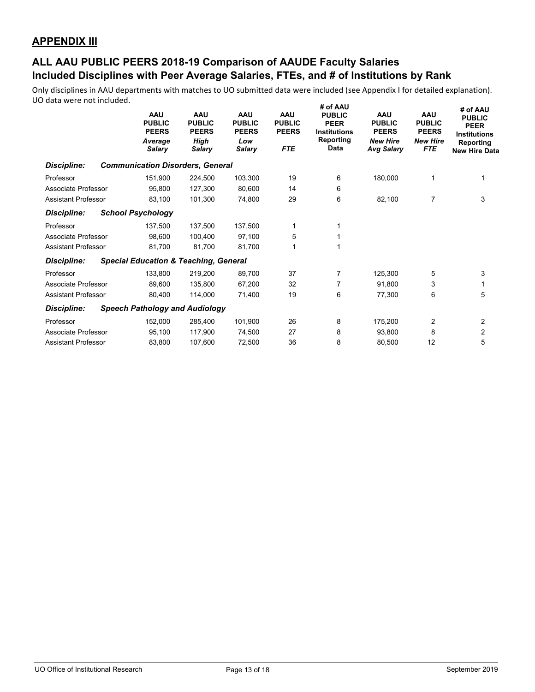|                            | AAU<br><b>PUBLIC</b><br><b>PEERS</b><br>Average<br>Salary | <b>AAU</b><br><b>PUBLIC</b><br><b>PEERS</b><br>High<br>Salary | <b>AAU</b><br><b>PUBLIC</b><br><b>PEERS</b><br>Low<br><b>Salary</b> | <b>AAU</b><br><b>PUBLIC</b><br><b>PEERS</b><br><b>FTE</b> | <b># OT AAU</b><br><b>PUBLIC</b><br><b>PEER</b><br><b>Institutions</b><br>Reporting<br>Data | <b>AAU</b><br><b>PUBLIC</b><br><b>PEERS</b><br><b>New Hire</b><br><b>Avg Salary</b> | <b>AAU</b><br><b>PUBLIC</b><br><b>PEERS</b><br><b>New Hire</b><br><b>FTE</b> | # of AAU<br><b>PUBLIC</b><br><b>PEER</b><br><b>Institutions</b><br>Reporting<br><b>New Hire Data</b> |
|----------------------------|-----------------------------------------------------------|---------------------------------------------------------------|---------------------------------------------------------------------|-----------------------------------------------------------|---------------------------------------------------------------------------------------------|-------------------------------------------------------------------------------------|------------------------------------------------------------------------------|------------------------------------------------------------------------------------------------------|
| <b>Discipline:</b>         | <b>Communication Disorders, General</b>                   |                                                               |                                                                     |                                                           |                                                                                             |                                                                                     |                                                                              |                                                                                                      |
| Professor                  | 151,900                                                   | 224,500                                                       | 103,300                                                             | 19                                                        | 6                                                                                           | 180,000                                                                             |                                                                              |                                                                                                      |
| Associate Professor        | 95.800                                                    | 127,300                                                       | 80,600                                                              | 14                                                        | 6                                                                                           |                                                                                     |                                                                              |                                                                                                      |
| <b>Assistant Professor</b> | 83,100                                                    | 101,300                                                       | 74,800                                                              | 29                                                        | 6                                                                                           | 82,100                                                                              | 7                                                                            | 3                                                                                                    |
| <b>Discipline:</b>         | <b>School Psychology</b>                                  |                                                               |                                                                     |                                                           |                                                                                             |                                                                                     |                                                                              |                                                                                                      |
| Professor                  | 137,500                                                   | 137,500                                                       | 137,500                                                             | 1                                                         | 1                                                                                           |                                                                                     |                                                                              |                                                                                                      |
| Associate Professor        | 98,600                                                    | 100.400                                                       | 97,100                                                              | 5                                                         | 1                                                                                           |                                                                                     |                                                                              |                                                                                                      |
| <b>Assistant Professor</b> | 81,700                                                    | 81,700                                                        | 81,700                                                              |                                                           | 1                                                                                           |                                                                                     |                                                                              |                                                                                                      |
| <b>Discipline:</b>         | <b>Special Education &amp; Teaching, General</b>          |                                                               |                                                                     |                                                           |                                                                                             |                                                                                     |                                                                              |                                                                                                      |
| Professor                  | 133,800                                                   | 219,200                                                       | 89,700                                                              | 37                                                        | $\overline{7}$                                                                              | 125,300                                                                             | 5                                                                            | 3                                                                                                    |
| Associate Professor        | 89.600                                                    | 135,800                                                       | 67,200                                                              | 32                                                        | $\overline{7}$                                                                              | 91,800                                                                              | 3                                                                            | 1                                                                                                    |
| <b>Assistant Professor</b> | 80,400                                                    | 114,000                                                       | 71,400                                                              | 19                                                        | 6                                                                                           | 77,300                                                                              | 6                                                                            | 5                                                                                                    |
| <b>Discipline:</b>         | <b>Speech Pathology and Audiology</b>                     |                                                               |                                                                     |                                                           |                                                                                             |                                                                                     |                                                                              |                                                                                                      |
| Professor                  | 152,000                                                   | 285,400                                                       | 101,900                                                             | 26                                                        | 8                                                                                           | 175,200                                                                             | 2                                                                            | 2                                                                                                    |
| Associate Professor        | 95,100                                                    | 117,900                                                       | 74,500                                                              | 27                                                        | 8                                                                                           | 93,800                                                                              | 8                                                                            | 2                                                                                                    |
| <b>Assistant Professor</b> | 83,800                                                    | 107,600                                                       | 72.500                                                              | 36                                                        | 8                                                                                           | 80,500                                                                              | 12                                                                           | 5                                                                                                    |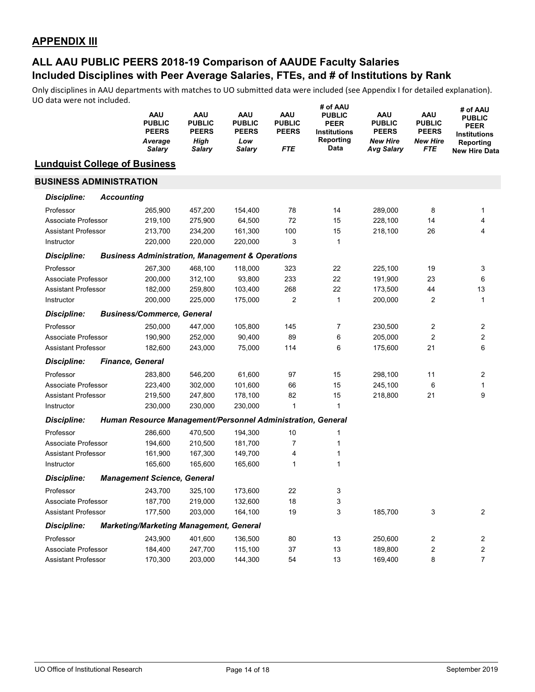|                                      |                   | AAU<br><b>PUBLIC</b><br><b>PEERS</b><br>Average<br><b>Salary</b> | AAU<br><b>PUBLIC</b><br><b>PEERS</b><br><b>High</b><br>Salary | AAU<br><b>PUBLIC</b><br><b>PEERS</b><br>Low<br><b>Salary</b> | <b>AAU</b><br><b>PUBLIC</b><br><b>PEERS</b><br>FTE | # of AAU<br><b>PUBLIC</b><br><b>PEER</b><br><b>Institutions</b><br>Reporting<br>Data | <b>AAU</b><br><b>PUBLIC</b><br><b>PEERS</b><br><b>New Hire</b><br><b>Avg Salary</b> | AAU<br><b>PUBLIC</b><br><b>PEERS</b><br><b>New Hire</b><br>FTE | # of AAU<br><b>PUBLIC</b><br><b>PEER</b><br><b>Institutions</b><br>Reporting<br><b>New Hire Data</b> |
|--------------------------------------|-------------------|------------------------------------------------------------------|---------------------------------------------------------------|--------------------------------------------------------------|----------------------------------------------------|--------------------------------------------------------------------------------------|-------------------------------------------------------------------------------------|----------------------------------------------------------------|------------------------------------------------------------------------------------------------------|
| <b>Lundquist College of Business</b> |                   |                                                                  |                                                               |                                                              |                                                    |                                                                                      |                                                                                     |                                                                |                                                                                                      |
| <b>BUSINESS ADMINISTRATION</b>       |                   |                                                                  |                                                               |                                                              |                                                    |                                                                                      |                                                                                     |                                                                |                                                                                                      |
| <b>Discipline:</b>                   | <b>Accounting</b> |                                                                  |                                                               |                                                              |                                                    |                                                                                      |                                                                                     |                                                                |                                                                                                      |
| Professor                            |                   | 265,900                                                          | 457,200                                                       | 154,400                                                      | 78                                                 | 14                                                                                   | 289,000                                                                             | 8                                                              | 1                                                                                                    |
| Associate Professor                  |                   | 219,100                                                          | 275,900                                                       | 64,500                                                       | 72                                                 | 15                                                                                   | 228,100                                                                             | 14                                                             | 4                                                                                                    |
| <b>Assistant Professor</b>           |                   | 213,700                                                          | 234,200                                                       | 161,300                                                      | 100                                                | 15                                                                                   | 218,100                                                                             | 26                                                             | 4                                                                                                    |
| Instructor                           |                   | 220,000                                                          | 220,000                                                       | 220,000                                                      | 3                                                  | 1                                                                                    |                                                                                     |                                                                |                                                                                                      |
| <b>Discipline:</b>                   |                   | <b>Business Administration, Management &amp; Operations</b>      |                                                               |                                                              |                                                    |                                                                                      |                                                                                     |                                                                |                                                                                                      |
| Professor                            |                   | 267,300                                                          | 468,100                                                       | 118,000                                                      | 323                                                | 22                                                                                   | 225,100                                                                             | 19                                                             | 3                                                                                                    |
| Associate Professor                  |                   | 200,000                                                          | 312,100                                                       | 93,800                                                       | 233                                                | 22                                                                                   | 191,900                                                                             | 23                                                             | 6                                                                                                    |
| <b>Assistant Professor</b>           |                   | 182,000                                                          | 259,800                                                       | 103,400                                                      | 268                                                | 22                                                                                   | 173,500                                                                             | 44                                                             | 13                                                                                                   |
| Instructor                           |                   | 200,000                                                          | 225,000                                                       | 175,000                                                      | 2                                                  | 1                                                                                    | 200,000                                                                             | 2                                                              | 1                                                                                                    |
| Discipline:                          |                   | <b>Business/Commerce, General</b>                                |                                                               |                                                              |                                                    |                                                                                      |                                                                                     |                                                                |                                                                                                      |
| Professor                            |                   | 250,000                                                          | 447,000                                                       | 105,800                                                      | 145                                                | 7                                                                                    | 230,500                                                                             | 2                                                              | 2                                                                                                    |
| Associate Professor                  |                   | 190,900                                                          | 252,000                                                       | 90,400                                                       | 89                                                 | 6                                                                                    | 205,000                                                                             | 2                                                              | 2                                                                                                    |
| <b>Assistant Professor</b>           |                   | 182,600                                                          | 243,000                                                       | 75,000                                                       | 114                                                | 6                                                                                    | 175,600                                                                             | 21                                                             | 6                                                                                                    |
| <b>Discipline:</b>                   |                   | <b>Finance, General</b>                                          |                                                               |                                                              |                                                    |                                                                                      |                                                                                     |                                                                |                                                                                                      |
| Professor                            |                   | 283,800                                                          | 546,200                                                       | 61,600                                                       | 97                                                 | 15                                                                                   | 298,100                                                                             | 11                                                             | 2                                                                                                    |
| Associate Professor                  |                   | 223,400                                                          | 302,000                                                       | 101,600                                                      | 66                                                 | 15                                                                                   | 245,100                                                                             | 6                                                              | 1                                                                                                    |
| <b>Assistant Professor</b>           |                   | 219,500                                                          | 247,800                                                       | 178,100                                                      | 82                                                 | 15                                                                                   | 218,800                                                                             | 21                                                             | 9                                                                                                    |
| Instructor                           |                   | 230,000                                                          | 230,000                                                       | 230,000                                                      | 1                                                  | 1                                                                                    |                                                                                     |                                                                |                                                                                                      |
| Discipline:                          |                   | Human Resource Management/Personnel Administration, General      |                                                               |                                                              |                                                    |                                                                                      |                                                                                     |                                                                |                                                                                                      |
| Professor                            |                   | 286,600                                                          | 470,500                                                       | 194,300                                                      | 10                                                 | 1                                                                                    |                                                                                     |                                                                |                                                                                                      |
| Associate Professor                  |                   | 194,600                                                          | 210,500                                                       | 181,700                                                      | $\overline{7}$                                     | 1                                                                                    |                                                                                     |                                                                |                                                                                                      |
| <b>Assistant Professor</b>           |                   | 161,900                                                          | 167,300                                                       | 149,700                                                      | 4                                                  | 1                                                                                    |                                                                                     |                                                                |                                                                                                      |
| Instructor                           |                   | 165,600                                                          | 165,600                                                       | 165,600                                                      | $\mathbf{1}$                                       | 1                                                                                    |                                                                                     |                                                                |                                                                                                      |
| <b>Discipline:</b>                   |                   | <b>Management Science, General</b>                               |                                                               |                                                              |                                                    |                                                                                      |                                                                                     |                                                                |                                                                                                      |
| Professor                            |                   | 243,700                                                          | 325,100                                                       | 173,600                                                      | 22                                                 | 3                                                                                    |                                                                                     |                                                                |                                                                                                      |
| Associate Professor                  |                   | 187,700                                                          | 219,000                                                       | 132,600                                                      | $18$                                               | 3                                                                                    |                                                                                     |                                                                |                                                                                                      |
| <b>Assistant Professor</b>           |                   | 177,500                                                          | 203,000                                                       | 164,100                                                      | 19                                                 | 3                                                                                    | 185,700                                                                             | 3                                                              | 2                                                                                                    |
| <b>Discipline:</b>                   |                   | <b>Marketing/Marketing Management, General</b>                   |                                                               |                                                              |                                                    |                                                                                      |                                                                                     |                                                                |                                                                                                      |
| Professor                            |                   | 243,900                                                          | 401,600                                                       | 136,500                                                      | 80                                                 | 13                                                                                   | 250,600                                                                             | 2                                                              | 2                                                                                                    |
| Associate Professor                  |                   | 184,400                                                          | 247,700                                                       | 115,100                                                      | 37                                                 | 13                                                                                   | 189,800                                                                             | 2                                                              | $\boldsymbol{2}$                                                                                     |
| Assistant Professor                  |                   | 170,300                                                          | 203,000                                                       | 144,300                                                      | 54                                                 | 13                                                                                   | 169,400                                                                             | 8                                                              | $\overline{7}$                                                                                       |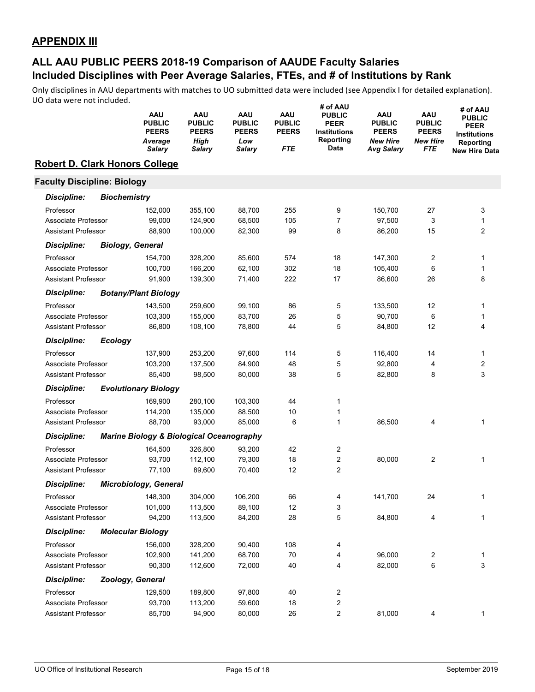|                                       |                     | AAU<br><b>PUBLIC</b><br><b>PEERS</b><br>Average<br>Salary | AAU<br><b>PUBLIC</b><br><b>PEERS</b><br><b>High</b><br>Salary | AAU<br><b>PUBLIC</b><br><b>PEERS</b><br>Low<br><b>Salary</b> | <b>AAU</b><br><b>PUBLIC</b><br><b>PEERS</b><br>FTE | # of AAU<br><b>PUBLIC</b><br><b>PEER</b><br><b>Institutions</b><br>Reporting<br>Data | AAU<br><b>PUBLIC</b><br><b>PEERS</b><br><b>New Hire</b><br>Avg Salary | AAU<br><b>PUBLIC</b><br><b>PEERS</b><br><b>New Hire</b><br>FTE | # of AAU<br><b>PUBLIC</b><br><b>PEER</b><br><b>Institutions</b><br>Reporting<br><b>New Hire Data</b> |
|---------------------------------------|---------------------|-----------------------------------------------------------|---------------------------------------------------------------|--------------------------------------------------------------|----------------------------------------------------|--------------------------------------------------------------------------------------|-----------------------------------------------------------------------|----------------------------------------------------------------|------------------------------------------------------------------------------------------------------|
| <b>Robert D. Clark Honors College</b> |                     |                                                           |                                                               |                                                              |                                                    |                                                                                      |                                                                       |                                                                |                                                                                                      |
| <b>Faculty Discipline: Biology</b>    |                     |                                                           |                                                               |                                                              |                                                    |                                                                                      |                                                                       |                                                                |                                                                                                      |
| Discipline:                           | <b>Biochemistry</b> |                                                           |                                                               |                                                              |                                                    |                                                                                      |                                                                       |                                                                |                                                                                                      |
| Professor                             |                     | 152,000                                                   | 355,100                                                       | 88,700                                                       | 255                                                | 9                                                                                    | 150,700                                                               | 27                                                             | 3                                                                                                    |
| Associate Professor                   |                     | 99,000                                                    | 124,900                                                       | 68,500                                                       | 105                                                | 7                                                                                    | 97,500                                                                | 3                                                              | $\mathbf{1}$                                                                                         |
| <b>Assistant Professor</b>            |                     | 88,900                                                    | 100,000                                                       | 82,300                                                       | 99                                                 | 8                                                                                    | 86,200                                                                | 15                                                             | $\overline{2}$                                                                                       |
| <b>Discipline:</b>                    |                     | <b>Biology, General</b>                                   |                                                               |                                                              |                                                    |                                                                                      |                                                                       |                                                                |                                                                                                      |
| Professor                             |                     | 154,700                                                   | 328,200                                                       | 85,600                                                       | 574                                                | 18                                                                                   | 147,300                                                               | 2                                                              | 1                                                                                                    |
| Associate Professor                   |                     | 100,700                                                   | 166,200                                                       | 62,100                                                       | 302                                                | 18                                                                                   | 105,400                                                               | 6                                                              | 1                                                                                                    |
| <b>Assistant Professor</b>            |                     | 91,900                                                    | 139,300                                                       | 71,400                                                       | 222                                                | 17                                                                                   | 86,600                                                                | 26                                                             | 8                                                                                                    |
| <b>Discipline:</b>                    |                     | <b>Botany/Plant Biology</b>                               |                                                               |                                                              |                                                    |                                                                                      |                                                                       |                                                                |                                                                                                      |
| Professor                             |                     | 143,500                                                   | 259,600                                                       | 99,100                                                       | 86                                                 | 5                                                                                    | 133,500                                                               | 12                                                             | 1                                                                                                    |
| Associate Professor                   |                     | 103,300                                                   | 155,000                                                       | 83,700                                                       | 26                                                 | 5                                                                                    | 90,700                                                                | 6                                                              | 1                                                                                                    |
| <b>Assistant Professor</b>            |                     | 86,800                                                    | 108,100                                                       | 78,800                                                       | 44                                                 | 5                                                                                    | 84,800                                                                | 12                                                             | 4                                                                                                    |
| <b>Discipline:</b>                    | <b>Ecology</b>      |                                                           |                                                               |                                                              |                                                    |                                                                                      |                                                                       |                                                                |                                                                                                      |
| Professor                             |                     | 137,900                                                   | 253,200                                                       | 97,600                                                       | 114                                                | 5                                                                                    | 116,400                                                               | 14                                                             | 1                                                                                                    |
| Associate Professor                   |                     | 103,200                                                   | 137,500                                                       | 84,900                                                       | 48                                                 | 5                                                                                    | 92,800                                                                | 4                                                              | $\overline{2}$                                                                                       |
| <b>Assistant Professor</b>            |                     | 85,400                                                    | 98,500                                                        | 80,000                                                       | 38                                                 | 5                                                                                    | 82,800                                                                | 8                                                              | 3                                                                                                    |
| <b>Discipline:</b>                    |                     | <b>Evolutionary Biology</b>                               |                                                               |                                                              |                                                    |                                                                                      |                                                                       |                                                                |                                                                                                      |
| Professor                             |                     | 169,900                                                   | 280,100                                                       | 103,300                                                      | 44                                                 | 1                                                                                    |                                                                       |                                                                |                                                                                                      |
| Associate Professor                   |                     | 114,200                                                   | 135,000                                                       | 88,500                                                       | 10                                                 | 1                                                                                    |                                                                       |                                                                |                                                                                                      |
| <b>Assistant Professor</b>            |                     | 88,700                                                    | 93,000                                                        | 85,000                                                       | 6                                                  | 1                                                                                    | 86,500                                                                | 4                                                              | 1                                                                                                    |
| <b>Discipline:</b>                    |                     | <b>Marine Biology &amp; Biological Oceanography</b>       |                                                               |                                                              |                                                    |                                                                                      |                                                                       |                                                                |                                                                                                      |
| Professor                             |                     | 164,500                                                   | 326,800                                                       | 93,200                                                       | 42                                                 | 2                                                                                    |                                                                       |                                                                |                                                                                                      |
| Associate Professor                   |                     | 93,700                                                    | 112,100                                                       | 79,300                                                       | 18                                                 | 2                                                                                    | 80,000                                                                | 2                                                              | 1                                                                                                    |
| <b>Assistant Professor</b>            |                     | 77,100                                                    | 89,600                                                        | 70,400                                                       | 12                                                 | 2                                                                                    |                                                                       |                                                                |                                                                                                      |
| <b>Discipline:</b>                    |                     | <b>Microbiology, General</b>                              |                                                               |                                                              |                                                    |                                                                                      |                                                                       |                                                                |                                                                                                      |
| Professor                             |                     | 148,300                                                   | 304,000                                                       | 106,200                                                      | 66                                                 |                                                                                      | 141,700                                                               | 24                                                             |                                                                                                      |
| Associate Professor                   |                     | 101,000                                                   | 113,500                                                       | 89,100                                                       | 12                                                 | 3                                                                                    |                                                                       |                                                                |                                                                                                      |
| <b>Assistant Professor</b>            |                     | 94,200                                                    | 113,500                                                       | 84,200                                                       | 28                                                 | 5                                                                                    | 84,800                                                                | 4                                                              | 1                                                                                                    |
| <b>Discipline:</b>                    |                     | <b>Molecular Biology</b>                                  |                                                               |                                                              |                                                    |                                                                                      |                                                                       |                                                                |                                                                                                      |
| Professor                             |                     | 156,000                                                   | 328,200                                                       | 90,400                                                       | 108                                                | 4                                                                                    |                                                                       |                                                                |                                                                                                      |
| Associate Professor                   |                     | 102,900                                                   | 141,200                                                       | 68,700                                                       | 70                                                 | 4                                                                                    | 96,000                                                                | 2                                                              | 1                                                                                                    |
| <b>Assistant Professor</b>            |                     | 90,300                                                    | 112,600                                                       | 72,000                                                       | 40                                                 | 4                                                                                    | 82,000                                                                | 6                                                              | 3                                                                                                    |
| <b>Discipline:</b>                    |                     | Zoology, General                                          |                                                               |                                                              |                                                    |                                                                                      |                                                                       |                                                                |                                                                                                      |
| Professor                             |                     | 129,500                                                   | 189,800                                                       | 97,800                                                       | 40                                                 | 2                                                                                    |                                                                       |                                                                |                                                                                                      |
| Associate Professor                   |                     | 93,700                                                    | 113,200                                                       | 59,600                                                       | 18                                                 | 2                                                                                    |                                                                       |                                                                |                                                                                                      |
| Assistant Professor                   |                     | 85,700                                                    | 94,900                                                        | 80,000                                                       | 26                                                 | 2                                                                                    | 81,000                                                                | 4                                                              | 1                                                                                                    |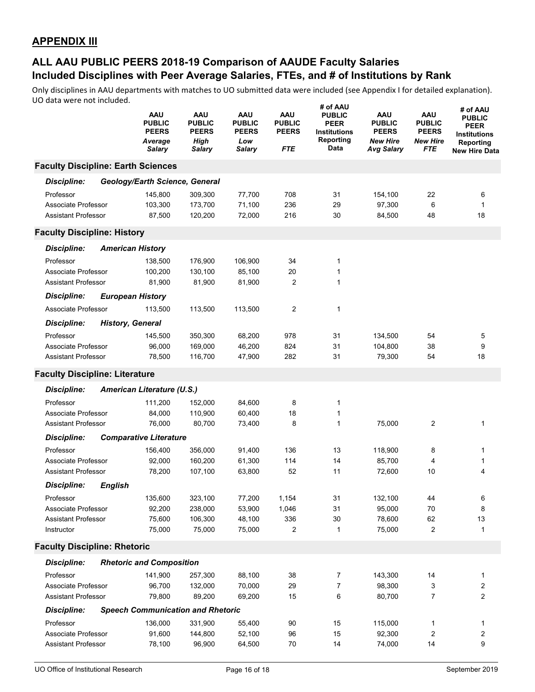|                                           |                | AAU<br><b>PUBLIC</b><br><b>PEERS</b><br>Average<br><b>Salary</b> | AAU<br><b>PUBLIC</b><br><b>PEERS</b><br><b>High</b><br>Salary | <b>AAU</b><br><b>PUBLIC</b><br><b>PEERS</b><br>Low<br>Salary | <b>AAU</b><br><b>PUBLIC</b><br><b>PEERS</b><br><b>FTE</b> | # of AAU<br><b>PUBLIC</b><br><b>PEER</b><br><b>Institutions</b><br>Reporting<br>Data | <b>AAU</b><br><b>PUBLIC</b><br><b>PEERS</b><br><b>New Hire</b><br><b>Avg Salary</b> | <b>AAU</b><br><b>PUBLIC</b><br><b>PEERS</b><br><b>New Hire</b><br>FTE | # of AAU<br><b>PUBLIC</b><br>PEER<br><b>Institutions</b><br>Reporting<br><b>New Hire Data</b> |
|-------------------------------------------|----------------|------------------------------------------------------------------|---------------------------------------------------------------|--------------------------------------------------------------|-----------------------------------------------------------|--------------------------------------------------------------------------------------|-------------------------------------------------------------------------------------|-----------------------------------------------------------------------|-----------------------------------------------------------------------------------------------|
| <b>Faculty Discipline: Earth Sciences</b> |                |                                                                  |                                                               |                                                              |                                                           |                                                                                      |                                                                                     |                                                                       |                                                                                               |
| <b>Discipline:</b>                        |                | Geology/Earth Science, General                                   |                                                               |                                                              |                                                           |                                                                                      |                                                                                     |                                                                       |                                                                                               |
| Professor                                 |                | 145,800                                                          | 309,300                                                       | 77,700                                                       | 708                                                       | 31                                                                                   | 154,100                                                                             | 22                                                                    | 6                                                                                             |
| Associate Professor                       |                | 103,300                                                          | 173,700                                                       | 71,100                                                       | 236                                                       | 29                                                                                   | 97,300                                                                              | 6                                                                     | $\mathbf{1}$                                                                                  |
| <b>Assistant Professor</b>                |                | 87,500                                                           | 120,200                                                       | 72,000                                                       | 216                                                       | 30                                                                                   | 84,500                                                                              | 48                                                                    | 18                                                                                            |
| <b>Faculty Discipline: History</b>        |                |                                                                  |                                                               |                                                              |                                                           |                                                                                      |                                                                                     |                                                                       |                                                                                               |
| <b>Discipline:</b>                        |                | <b>American History</b>                                          |                                                               |                                                              |                                                           |                                                                                      |                                                                                     |                                                                       |                                                                                               |
| Professor                                 |                | 138,500                                                          | 176,900                                                       | 106,900                                                      | 34                                                        | 1                                                                                    |                                                                                     |                                                                       |                                                                                               |
| Associate Professor                       |                | 100,200                                                          | 130,100                                                       | 85,100                                                       | 20                                                        | 1                                                                                    |                                                                                     |                                                                       |                                                                                               |
| <b>Assistant Professor</b>                |                | 81,900                                                           | 81,900                                                        | 81,900                                                       | 2                                                         | 1                                                                                    |                                                                                     |                                                                       |                                                                                               |
| <b>Discipline:</b>                        |                | <b>European History</b>                                          |                                                               |                                                              |                                                           |                                                                                      |                                                                                     |                                                                       |                                                                                               |
| Associate Professor                       |                | 113,500                                                          | 113,500                                                       | 113,500                                                      | $\overline{2}$                                            | 1                                                                                    |                                                                                     |                                                                       |                                                                                               |
| <b>Discipline:</b>                        |                | <b>History, General</b>                                          |                                                               |                                                              |                                                           |                                                                                      |                                                                                     |                                                                       |                                                                                               |
| Professor                                 |                | 145,500                                                          | 350,300                                                       | 68,200                                                       | 978                                                       | 31                                                                                   | 134,500                                                                             | 54                                                                    | 5                                                                                             |
| Associate Professor                       |                | 96,000                                                           | 169,000                                                       | 46,200                                                       | 824                                                       | 31                                                                                   | 104,800                                                                             | 38                                                                    | 9                                                                                             |
| <b>Assistant Professor</b>                |                | 78,500                                                           | 116,700                                                       | 47,900                                                       | 282                                                       | 31                                                                                   | 79,300                                                                              | 54                                                                    | 18                                                                                            |
| <b>Faculty Discipline: Literature</b>     |                |                                                                  |                                                               |                                                              |                                                           |                                                                                      |                                                                                     |                                                                       |                                                                                               |
| <b>Discipline:</b>                        |                | American Literature (U.S.)                                       |                                                               |                                                              |                                                           |                                                                                      |                                                                                     |                                                                       |                                                                                               |
| Professor                                 |                | 111,200                                                          | 152,000                                                       | 84,600                                                       | 8                                                         | 1                                                                                    |                                                                                     |                                                                       |                                                                                               |
| Associate Professor                       |                | 84,000                                                           | 110,900                                                       | 60,400                                                       | 18                                                        | 1                                                                                    |                                                                                     |                                                                       |                                                                                               |
| <b>Assistant Professor</b>                |                | 76,000                                                           | 80,700                                                        | 73,400                                                       | 8                                                         | 1                                                                                    | 75,000                                                                              | 2                                                                     | $\mathbf{1}$                                                                                  |
| <b>Discipline:</b>                        |                | <b>Comparative Literature</b>                                    |                                                               |                                                              |                                                           |                                                                                      |                                                                                     |                                                                       |                                                                                               |
| Professor                                 |                | 156,400                                                          | 356,000                                                       | 91,400                                                       | 136                                                       | 13                                                                                   | 118,900                                                                             | 8                                                                     | 1                                                                                             |
| Associate Professor                       |                | 92,000                                                           | 160,200                                                       | 61,300                                                       | 114                                                       | 14                                                                                   | 85,700                                                                              | 4                                                                     | 1                                                                                             |
| <b>Assistant Professor</b>                |                | 78,200                                                           | 107,100                                                       | 63,800                                                       | 52                                                        | 11                                                                                   | 72,600                                                                              | 10                                                                    | 4                                                                                             |
| <b>Discipline:</b>                        | <b>English</b> |                                                                  |                                                               |                                                              |                                                           |                                                                                      |                                                                                     |                                                                       |                                                                                               |
| Professor                                 |                | 135,600                                                          | 323,100                                                       | 77,200                                                       | 1,154                                                     | 31                                                                                   | 132,100                                                                             | 44                                                                    | 6                                                                                             |
| Associate Professor                       |                | 92,200                                                           | 238,000                                                       | 53,900                                                       | 1,046                                                     | 31                                                                                   | 95,000                                                                              | 70                                                                    | 8                                                                                             |
| <b>Assistant Professor</b>                |                | 75,600                                                           | 106,300                                                       | 48,100                                                       | 336                                                       | 30                                                                                   | 78,600                                                                              | 62                                                                    | 13                                                                                            |
| Instructor                                |                | 75,000                                                           | 75,000                                                        | 75,000                                                       | 2                                                         | $\mathbf{1}$                                                                         | 75,000                                                                              | 2                                                                     | 1                                                                                             |
| <b>Faculty Discipline: Rhetoric</b>       |                |                                                                  |                                                               |                                                              |                                                           |                                                                                      |                                                                                     |                                                                       |                                                                                               |
| <b>Discipline:</b>                        |                | <b>Rhetoric and Composition</b>                                  |                                                               |                                                              |                                                           |                                                                                      |                                                                                     |                                                                       |                                                                                               |
| Professor                                 |                | 141,900                                                          | 257,300                                                       | 88,100                                                       | 38                                                        | 7                                                                                    | 143,300                                                                             | 14                                                                    | 1                                                                                             |
| Associate Professor                       |                | 96,700                                                           | 132,000                                                       | 70,000                                                       | 29                                                        | $\overline{7}$                                                                       | 98,300                                                                              | 3                                                                     | 2                                                                                             |
| <b>Assistant Professor</b>                |                | 79,800                                                           | 89,200                                                        | 69,200                                                       | 15                                                        | 6                                                                                    | 80,700                                                                              | 7                                                                     | 2                                                                                             |
| <b>Discipline:</b>                        |                | <b>Speech Communication and Rhetoric</b>                         |                                                               |                                                              |                                                           |                                                                                      |                                                                                     |                                                                       |                                                                                               |
| Professor                                 |                | 136,000                                                          | 331,900                                                       | 55,400                                                       | 90                                                        | 15                                                                                   | 115,000                                                                             | 1                                                                     | 1                                                                                             |
| Associate Professor                       |                | 91,600                                                           | 144,800                                                       | 52,100                                                       | 96                                                        | 15                                                                                   | 92,300                                                                              | 2                                                                     | 2                                                                                             |
| <b>Assistant Professor</b>                |                | 78,100                                                           | 96,900                                                        | 64,500                                                       | 70                                                        | 14                                                                                   | 74,000                                                                              | 14                                                                    | 9                                                                                             |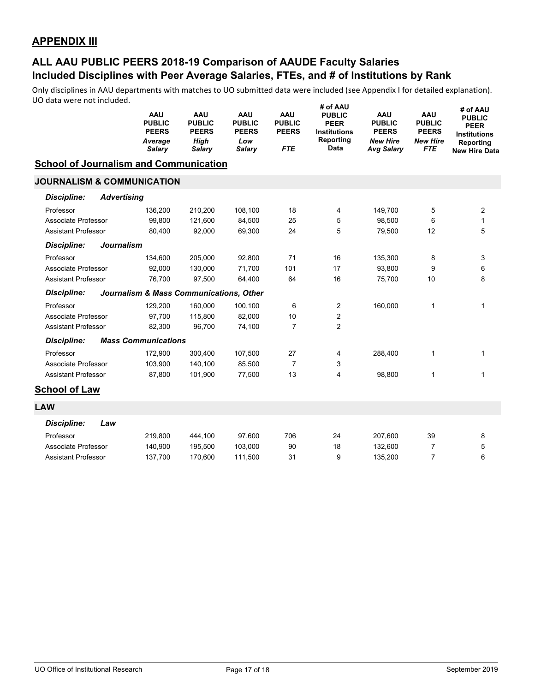# **Included Disciplines with Peer Average Salaries, FTEs, and # of Institutions by Rank ALL AAU PUBLIC PEERS 2018-19 Comparison of AAUDE Faculty Salaries**

|                                               |                    | AAU<br><b>PUBLIC</b><br><b>PEERS</b><br>Average<br><b>Salary</b> | <b>AAU</b><br><b>PUBLIC</b><br><b>PEERS</b><br>High<br><b>Salary</b> | <b>AAU</b><br><b>PUBLIC</b><br><b>PEERS</b><br>Low<br><b>Salary</b> | AAU<br><b>PUBLIC</b><br><b>PEERS</b><br><b>FTE</b> | # of AAU<br><b>PUBLIC</b><br><b>PEER</b><br><b>Institutions</b><br>Reporting<br>Data | <b>AAU</b><br><b>PUBLIC</b><br><b>PEERS</b><br><b>New Hire</b><br><b>Avg Salary</b> | AAU<br><b>PUBLIC</b><br><b>PEERS</b><br><b>New Hire</b><br><b>FTE</b> | # of AAU<br><b>PUBLIC</b><br><b>PEER</b><br><b>Institutions</b><br>Reporting<br><b>New Hire Data</b> |
|-----------------------------------------------|--------------------|------------------------------------------------------------------|----------------------------------------------------------------------|---------------------------------------------------------------------|----------------------------------------------------|--------------------------------------------------------------------------------------|-------------------------------------------------------------------------------------|-----------------------------------------------------------------------|------------------------------------------------------------------------------------------------------|
| <b>School of Journalism and Communication</b> |                    |                                                                  |                                                                      |                                                                     |                                                    |                                                                                      |                                                                                     |                                                                       |                                                                                                      |
| <b>JOURNALISM &amp; COMMUNICATION</b>         |                    |                                                                  |                                                                      |                                                                     |                                                    |                                                                                      |                                                                                     |                                                                       |                                                                                                      |
| <b>Discipline:</b>                            | <b>Advertising</b> |                                                                  |                                                                      |                                                                     |                                                    |                                                                                      |                                                                                     |                                                                       |                                                                                                      |
| Professor                                     |                    | 136,200                                                          | 210,200                                                              | 108,100                                                             | 18                                                 | 4                                                                                    | 149,700                                                                             | 5                                                                     | 2                                                                                                    |
| Associate Professor                           |                    | 99,800                                                           | 121,600                                                              | 84,500                                                              | 25                                                 | 5                                                                                    | 98,500                                                                              | 6                                                                     | $\mathbf{1}$                                                                                         |
| <b>Assistant Professor</b>                    |                    | 80,400                                                           | 92,000                                                               | 69,300                                                              | 24                                                 | 5                                                                                    | 79,500                                                                              | 12                                                                    | 5                                                                                                    |
| <b>Discipline:</b>                            | <b>Journalism</b>  |                                                                  |                                                                      |                                                                     |                                                    |                                                                                      |                                                                                     |                                                                       |                                                                                                      |
| Professor                                     |                    | 134,600                                                          | 205,000                                                              | 92,800                                                              | 71                                                 | 16                                                                                   | 135,300                                                                             | 8                                                                     | 3                                                                                                    |
| Associate Professor                           |                    | 92,000                                                           | 130,000                                                              | 71,700                                                              | 101                                                | 17                                                                                   | 93,800                                                                              | 9                                                                     | 6                                                                                                    |
| <b>Assistant Professor</b>                    |                    | 76,700                                                           | 97,500                                                               | 64,400                                                              | 64                                                 | 16                                                                                   | 75,700                                                                              | 10                                                                    | 8                                                                                                    |
| <b>Discipline:</b>                            |                    | Journalism & Mass Communications, Other                          |                                                                      |                                                                     |                                                    |                                                                                      |                                                                                     |                                                                       |                                                                                                      |
| Professor                                     |                    | 129,200                                                          | 160,000                                                              | 100,100                                                             | 6                                                  | 2                                                                                    | 160,000                                                                             | 1                                                                     | 1                                                                                                    |
| Associate Professor                           |                    | 97,700                                                           | 115,800                                                              | 82,000                                                              | 10                                                 | 2                                                                                    |                                                                                     |                                                                       |                                                                                                      |
| <b>Assistant Professor</b>                    |                    | 82,300                                                           | 96,700                                                               | 74,100                                                              | $\overline{7}$                                     | $\overline{2}$                                                                       |                                                                                     |                                                                       |                                                                                                      |
| <b>Discipline:</b>                            |                    | <b>Mass Communications</b>                                       |                                                                      |                                                                     |                                                    |                                                                                      |                                                                                     |                                                                       |                                                                                                      |
| Professor                                     |                    | 172,900                                                          | 300,400                                                              | 107,500                                                             | 27                                                 | 4                                                                                    | 288,400                                                                             | 1                                                                     | 1                                                                                                    |
| Associate Professor                           |                    | 103,900                                                          | 140,100                                                              | 85,500                                                              | $\overline{7}$                                     | 3                                                                                    |                                                                                     |                                                                       |                                                                                                      |
| <b>Assistant Professor</b>                    |                    | 87,800                                                           | 101,900                                                              | 77,500                                                              | 13                                                 | 4                                                                                    | 98,800                                                                              | 1                                                                     | 1                                                                                                    |
| <b>School of Law</b>                          |                    |                                                                  |                                                                      |                                                                     |                                                    |                                                                                      |                                                                                     |                                                                       |                                                                                                      |
| <b>LAW</b>                                    |                    |                                                                  |                                                                      |                                                                     |                                                    |                                                                                      |                                                                                     |                                                                       |                                                                                                      |
| <b>Discipline:</b>                            | Law                |                                                                  |                                                                      |                                                                     |                                                    |                                                                                      |                                                                                     |                                                                       |                                                                                                      |
| Professor                                     |                    | 219,800                                                          | 444,100                                                              | 97,600                                                              | 706                                                | 24                                                                                   | 207,600                                                                             | 39                                                                    | 8                                                                                                    |
| Associate Professor                           |                    | 140,900                                                          | 195,500                                                              | 103,000                                                             | 90                                                 | 18                                                                                   | 132,600                                                                             | $\overline{7}$                                                        | 5                                                                                                    |
| <b>Assistant Professor</b>                    |                    | 137,700                                                          | 170,600                                                              | 111,500                                                             | 31                                                 | 9                                                                                    | 135,200                                                                             | $\overline{7}$                                                        | 6                                                                                                    |
|                                               |                    |                                                                  |                                                                      |                                                                     |                                                    |                                                                                      |                                                                                     |                                                                       |                                                                                                      |